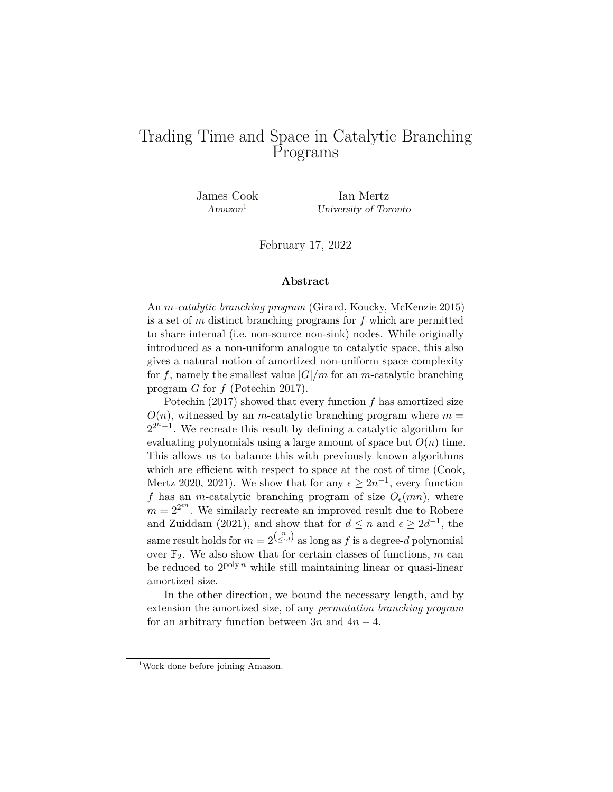# Trading Time and Space in Catalytic Branching Programs

James Cook Ian Mertz Amazon<sup>[1](#page-0-0)</sup> University of Toronto

February 17, 2022

#### **Abstract**

An *m-catalytic branching program* (Girard, Koucky, McKenzie 2015) is a set of *m* distinct branching programs for *f* which are permitted to share internal (i.e. non-source non-sink) nodes. While originally introduced as a non-uniform analogue to catalytic space, this also gives a natural notion of amortized non-uniform space complexity for f, namely the smallest value  $|G|/m$  for an *m*-catalytic branching program *G* for *f* (Potechin 2017).

Potechin (2017) showed that every function *f* has amortized size  $O(n)$ , witnessed by an *m*-catalytic branching program where  $m =$  $2^{2^{n}-1}$ . We recreate this result by defining a catalytic algorithm for evaluating polynomials using a large amount of space but  $O(n)$  time. This allows us to balance this with previously known algorithms which are efficient with respect to space at the cost of time (Cook, Mertz 2020, 2021). We show that for any  $\epsilon \geq 2n^{-1}$ , every function *f* has an *m*-catalytic branching program of size  $O_e(mn)$ , where  $m = 2^{2^{\epsilon n}}$ . We similarly recreate an improved result due to Robere and Zuiddam (2021), and show that for  $d \leq n$  and  $\epsilon \geq 2d^{-1}$ , the same result holds for  $m = 2^{\binom{n}{\leq \epsilon d}}$  as long as  $f$  is a degree- $d$  polynomial over  $\mathbb{F}_2$ . We also show that for certain classes of functions, m can be reduced to  $2^{poly n}$  while still maintaining linear or quasi-linear amortized size.

In the other direction, we bound the necessary length, and by extension the amortized size, of any *permutation branching program* for an arbitrary function between  $3n$  and  $4n - 4$ .

<span id="page-0-0"></span><sup>&</sup>lt;sup>1</sup>Work done before joining Amazon.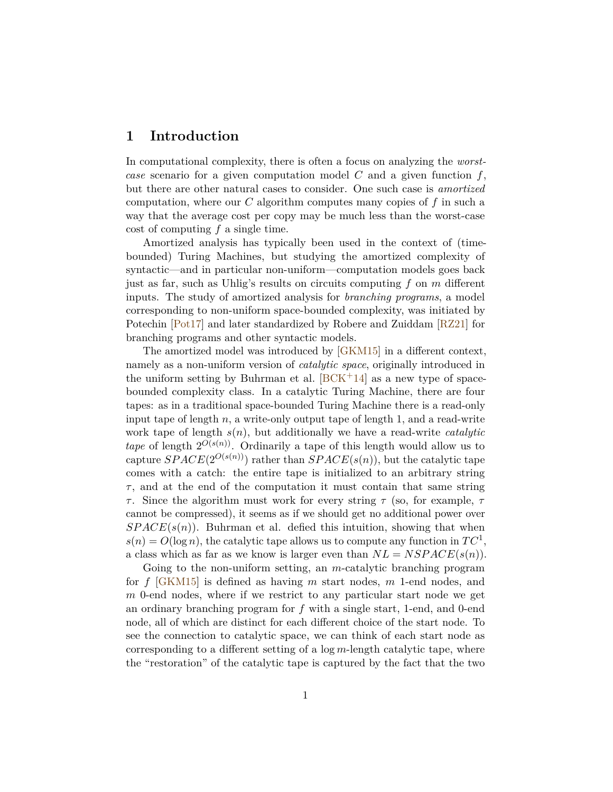## **1 Introduction**

In computational complexity, there is often a focus on analyzing the *worstcase* scenario for a given computation model *C* and a given function *f*, but there are other natural cases to consider. One such case is *amortized* computation, where our *C* algorithm computes many copies of *f* in such a way that the average cost per copy may be much less than the worst-case cost of computing *f* a single time.

Amortized analysis has typically been used in the context of (timebounded) Turing Machines, but studying the amortized complexity of syntactic—and in particular non-uniform—computation models goes back just as far, such as Uhlig's results on circuits computing *f* on *m* different inputs. The study of amortized analysis for *branching programs*, a model corresponding to non-uniform space-bounded complexity, was initiated by Potechin [\[Pot17\]](#page-32-0) and later standardized by Robere and Zuiddam [\[RZ21\]](#page-32-1) for branching programs and other syntactic models.

The amortized model was introduced by [\[GKM15\]](#page-32-2) in a different context, namely as a non-uniform version of *catalytic space*, originally introduced in the uniform setting by Buhrman et al.  $[BCK^+14]$  $[BCK^+14]$  as a new type of spacebounded complexity class. In a catalytic Turing Machine, there are four tapes: as in a traditional space-bounded Turing Machine there is a read-only input tape of length  $n$ , a write-only output tape of length 1, and a read-write work tape of length *s*(*n*), but additionally we have a read-write *catalytic tape* of length  $2^{O(s(n))}$ . Ordinarily a tape of this length would allow us to capture *SPACE*( $2^{O(s(n))}$ ) rather than *SPACE*( $s(n)$ ), but the catalytic tape comes with a catch: the entire tape is initialized to an arbitrary string *τ* , and at the end of the computation it must contain that same string *τ* . Since the algorithm must work for every string *τ* (so, for example, *τ* cannot be compressed), it seems as if we should get no additional power over  $SPACE(s(n))$ . Buhrman et al. defied this intuition, showing that when  $s(n) = O(\log n)$ , the catalytic tape allows us to compute any function in  $TC^1$ , a class which as far as we know is larger even than  $NL = NSPACE(s(n))$ .

Going to the non-uniform setting, an *m*-catalytic branching program for *f* [\[GKM15\]](#page-32-2) is defined as having *m* start nodes, *m* 1-end nodes, and *m* 0-end nodes, where if we restrict to any particular start node we get an ordinary branching program for *f* with a single start, 1-end, and 0-end node, all of which are distinct for each different choice of the start node. To see the connection to catalytic space, we can think of each start node as corresponding to a different setting of a log *m*-length catalytic tape, where the "restoration" of the catalytic tape is captured by the fact that the two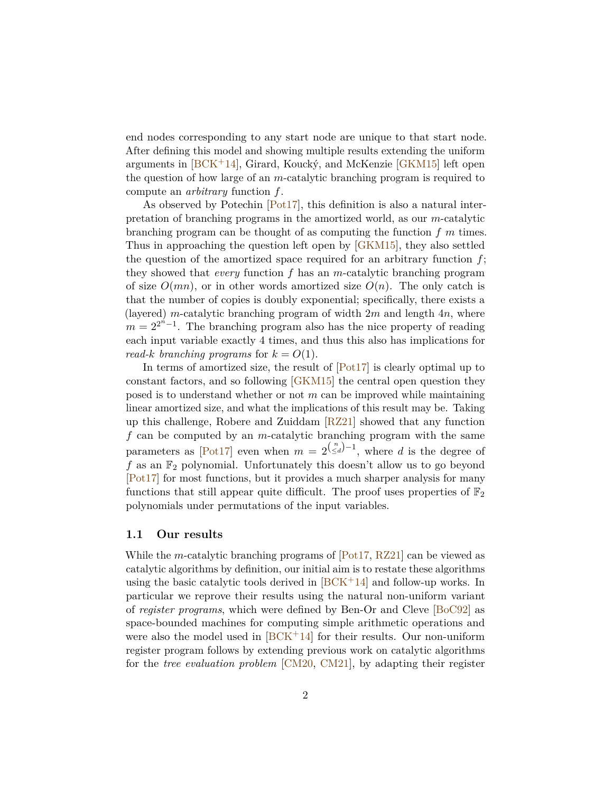end nodes corresponding to any start node are unique to that start node. After defining this model and showing multiple results extending the uniform arguments in  $[BCK^+14]$  $[BCK^+14]$ , Girard, Koucký, and McKenzie  $[GKM15]$  left open the question of how large of an *m*-catalytic branching program is required to compute an *arbitrary* function *f*.

As observed by Potechin [\[Pot17\]](#page-32-0), this definition is also a natural interpretation of branching programs in the amortized world, as our *m*-catalytic branching program can be thought of as computing the function *f m* times. Thus in approaching the question left open by [\[GKM15\]](#page-32-2), they also settled the question of the amortized space required for an arbitrary function *f*; they showed that *every* function *f* has an *m*-catalytic branching program of size  $O(mn)$ , or in other words amortized size  $O(n)$ . The only catch is that the number of copies is doubly exponential; specifically, there exists a (layered) *m*-catalytic branching program of width 2*m* and length 4*n*, where  $m = 2^{2^{n}-1}$ . The branching program also has the nice property of reading each input variable exactly 4 times, and thus this also has implications for *read-k branching programs* for  $k = O(1)$ .

In terms of amortized size, the result of [\[Pot17\]](#page-32-0) is clearly optimal up to constant factors, and so following [\[GKM15\]](#page-32-2) the central open question they posed is to understand whether or not *m* can be improved while maintaining linear amortized size, and what the implications of this result may be. Taking up this challenge, Robere and Zuiddam [\[RZ21\]](#page-32-1) showed that any function *f* can be computed by an *m*-catalytic branching program with the same parameters as  $[Pot17]$  even when  $m = 2^{\binom{n}{\leq d}-1}$ , where *d* is the degree of  $f$  as an  $\mathbb{F}_2$  polynomial. Unfortunately this doesn't allow us to go beyond [\[Pot17\]](#page-32-0) for most functions, but it provides a much sharper analysis for many functions that still appear quite difficult. The proof uses properties of  $\mathbb{F}_2$ polynomials under permutations of the input variables.

#### **1.1 Our results**

While the *m*-catalytic branching programs of [\[Pot17,](#page-32-0) [RZ21\]](#page-32-1) can be viewed as catalytic algorithms by definition, our initial aim is to restate these algorithms using the basic catalytic tools derived in  $[BCK^+14]$  $[BCK^+14]$  and follow-up works. In particular we reprove their results using the natural non-uniform variant of *register programs*, which were defined by Ben-Or and Cleve [\[BoC92\]](#page-32-4) as space-bounded machines for computing simple arithmetic operations and were also the model used in  $[BCK^+14]$  $[BCK^+14]$  for their results. Our non-uniform register program follows by extending previous work on catalytic algorithms for the *tree evaluation problem* [\[CM20,](#page-32-5) [CM21\]](#page-32-6), by adapting their register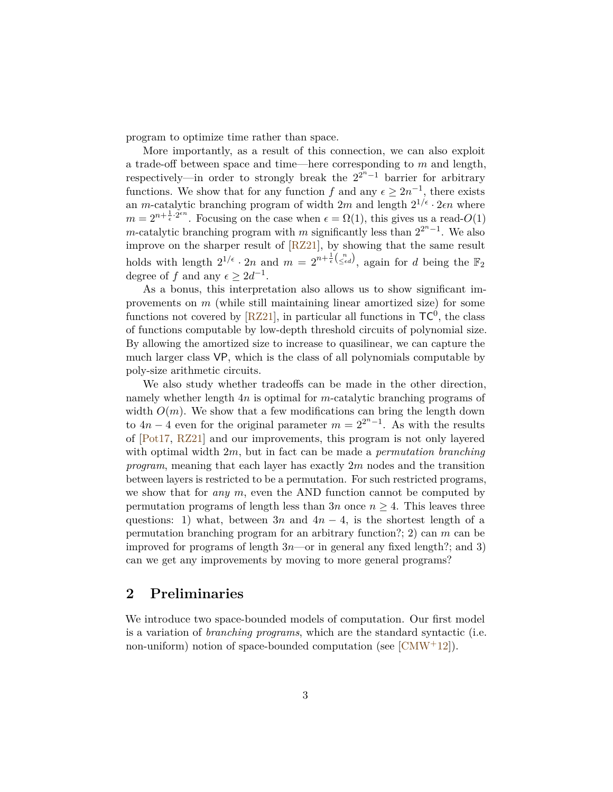program to optimize time rather than space.

More importantly, as a result of this connection, we can also exploit a trade-off between space and time—here corresponding to *m* and length, respectively—in order to strongly break the  $2^{2n-1}$  barrier for arbitrary functions. We show that for any function *f* and any  $\epsilon \geq 2n^{-1}$ , there exists an *m*-catalytic branching program of width  $2m$  and length  $2^{1/\epsilon} \cdot 2\epsilon n$  where  $m = 2^{n + \frac{1}{\epsilon} \cdot 2^{\epsilon n}}$ . Focusing on the case when  $\epsilon = \Omega(1)$ , this gives us a read- $O(1)$ *m*-catalytic branching program with *m* significantly less than  $2^{2^n-1}$ . We also improve on the sharper result of [\[RZ21\]](#page-32-1), by showing that the same result holds with length  $2^{1/\epsilon} \cdot 2n$  and  $m = 2^{n + \frac{1}{\epsilon} {n \choose \le \epsilon d}}$ , again for *d* being the  $\mathbb{F}_2$ degree of *f* and any  $\epsilon \geq 2d^{-1}$ .

As a bonus, this interpretation also allows us to show significant improvements on *m* (while still maintaining linear amortized size) for some functions not covered by  $[RZ21]$ , in particular all functions in  $TC^0$ , the class of functions computable by low-depth threshold circuits of polynomial size. By allowing the amortized size to increase to quasilinear, we can capture the much larger class VP, which is the class of all polynomials computable by poly-size arithmetic circuits.

We also study whether tradeoffs can be made in the other direction, namely whether length 4*n* is optimal for *m*-catalytic branching programs of width  $O(m)$ . We show that a few modifications can bring the length down to  $4n-4$  even for the original parameter  $m=2^{2^n-1}$ . As with the results of [\[Pot17,](#page-32-0) [RZ21\]](#page-32-1) and our improvements, this program is not only layered with optimal width 2*m*, but in fact can be made a *permutation branching program*, meaning that each layer has exactly 2*m* nodes and the transition between layers is restricted to be a permutation. For such restricted programs, we show that for *any m*, even the AND function cannot be computed by permutation programs of length less than  $3n$  once  $n \geq 4$ . This leaves three questions: 1) what, between  $3n$  and  $4n-4$ , is the shortest length of a permutation branching program for an arbitrary function?; 2) can *m* can be improved for programs of length 3*n*—or in general any fixed length?; and 3) can we get any improvements by moving to more general programs?

### <span id="page-3-0"></span>**2 Preliminaries**

We introduce two space-bounded models of computation. Our first model is a variation of *branching programs*, which are the standard syntactic (i.e. non-uniform) notion of space-bounded computation (see  $[CMW^+12]$  $[CMW^+12]$ ).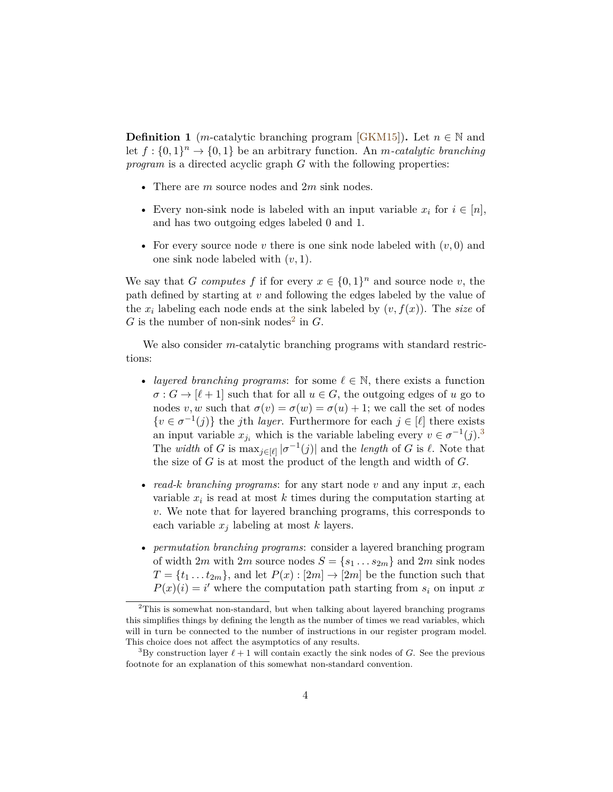**Definition 1** (*m*-catalytic branching program [\[GKM15\]](#page-32-2)). Let  $n \in \mathbb{N}$  and let  $f: \{0,1\}^n \to \{0,1\}$  be an arbitrary function. An *m*-catalytic branching *program* is a directed acyclic graph *G* with the following properties:

- There are *m* source nodes and 2*m* sink nodes.
- Every non-sink node is labeled with an input variable  $x_i$  for  $i \in [n]$ , and has two outgoing edges labeled 0 and 1.
- For every source node  $v$  there is one sink node labeled with  $(v, 0)$  and one sink node labeled with (*v,* 1).

We say that *G* computes *f* if for every  $x \in \{0,1\}^n$  and source node *v*, the path defined by starting at *v* and following the edges labeled by the value of the  $x_i$  labeling each node ends at the sink labeled by  $(v, f(x))$ . The *size* of  $G$  is the number of non-sink nodes<sup>[2](#page-4-0)</sup> in  $G$ .

We also consider *m*-catalytic branching programs with standard restrictions:

- *layered branching programs*: for some  $\ell \in \mathbb{N}$ , there exists a function  $\sigma: G \to [\ell + 1]$  such that for all  $u \in G$ , the outgoing edges of *u* go to nodes *v*, *w* such that  $\sigma(v) = \sigma(w) = \sigma(u) + 1$ ; we call the set of nodes  $\{v \in \sigma^{-1}(j)\}\$  the *j*th *layer*. Furthermore for each  $j \in [\ell]$  there exists an input variable  $x_{j_i}$  which is the variable labeling every  $v \in \sigma^{-1}(j)$ .<sup>[3](#page-4-1)</sup> The *width* of *G* is  $\max_{j \in [\ell]} |\sigma^{-1}(j)|$  and the *length* of *G* is  $\ell$ . Note that the size of *G* is at most the product of the length and width of *G*.
- *read-k branching programs*: for any start node *v* and any input *x*, each variable  $x_i$  is read at most  $k$  times during the computation starting at *v*. We note that for layered branching programs, this corresponds to each variable *x<sup>j</sup>* labeling at most *k* layers.
- *permutation branching programs*: consider a layered branching program of width 2*m* with 2*m* source nodes  $S = \{s_1 \dots s_{2m}\}\$ and 2*m* sink nodes  $T = \{t_1 \dots t_{2m}\}\$ , and let  $P(x): [2m] \to [2m]$  be the function such that  $P(x)(i) = i'$  where the computation path starting from  $s_i$  on input *x*

<span id="page-4-0"></span><sup>&</sup>lt;sup>2</sup>This is somewhat non-standard, but when talking about layered branching programs this simplifies things by defining the length as the number of times we read variables, which will in turn be connected to the number of instructions in our register program model. This choice does not affect the asymptotics of any results.

<span id="page-4-1"></span><sup>&</sup>lt;sup>3</sup>By construction layer  $\ell + 1$  will contain exactly the sink nodes of *G*. See the previous footnote for an explanation of this somewhat non-standard convention.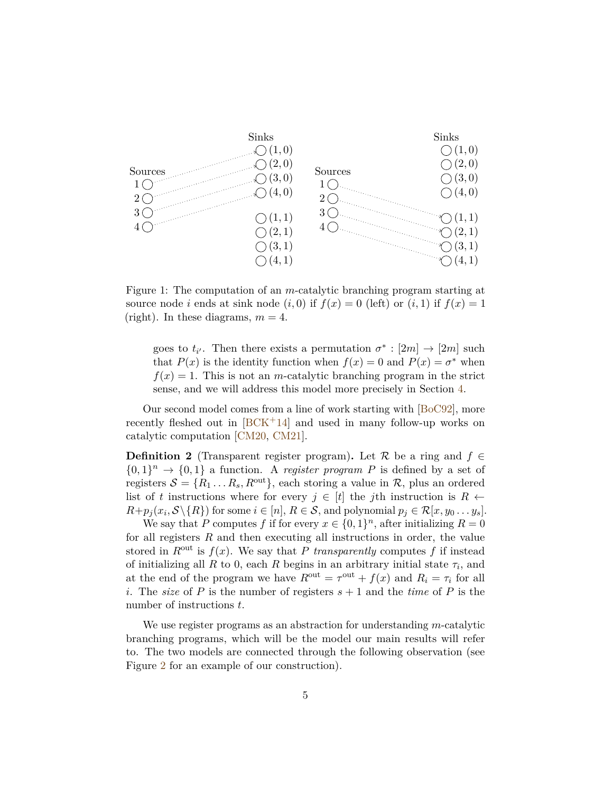

<span id="page-5-0"></span>Figure 1: The computation of an *m*-catalytic branching program starting at source node *i* ends at sink node  $(i, 0)$  if  $f(x) = 0$  (left) or  $(i, 1)$  if  $f(x) = 1$ (right). In these diagrams,  $m = 4$ .

goes to  $t_{i'}$ . Then there exists a permutation  $\sigma^* : [2m] \to [2m]$  such that  $P(x)$  is the identity function when  $f(x) = 0$  and  $P(x) = \sigma^*$  when  $f(x) = 1$ . This is not an *m*-catalytic branching program in the strict sense, and we will address this model more precisely in Section [4.](#page-21-0)

Our second model comes from a line of work starting with [\[BoC92\]](#page-32-4), more recently fleshed out in  $[BCK^+14]$  $[BCK^+14]$  and used in many follow-up works on catalytic computation [\[CM20,](#page-32-5) [CM21\]](#page-32-6).

<span id="page-5-1"></span>**Definition 2** (Transparent register program). Let R be a ring and  $f \in$  $\{0,1\}^n \rightarrow \{0,1\}$  a function. A *register program* P is defined by a set of registers  $S = \{R_1 \dots R_s, R^{\text{out}}\}$ , each storing a value in  $\mathcal{R}$ , plus an ordered list of *t* instructions where for every  $j \in [t]$  the *j*th instruction is  $R \leftarrow$  $R+p_j(x_i, \mathcal{S}\setminus\{R\})$  for some  $i\in[n], R\in\mathcal{S}$ , and polynomial  $p_j\in\mathcal{R}[x, y_0\ldots y_s].$ 

We say that *P* computes *f* if for every  $x \in \{0,1\}^n$ , after initializing  $R = 0$ for all registers *R* and then executing all instructions in order, the value stored in  $R^{\text{out}}$  is  $f(x)$ . We say that *P transparently* computes f if instead of initializing all  $R$  to 0, each  $R$  begins in an arbitrary initial state  $\tau_i$ , and at the end of the program we have  $R^{\text{out}} = \tau^{\text{out}} + f(x)$  and  $R_i = \tau_i$  for all *i*. The *size* of *P* is the number of registers  $s + 1$  and the *time* of *P* is the number of instructions *t*.

We use register programs as an abstraction for understanding *m*-catalytic branching programs, which will be the model our main results will refer to. The two models are connected through the following observation (see Figure [2](#page-7-0) for an example of our construction).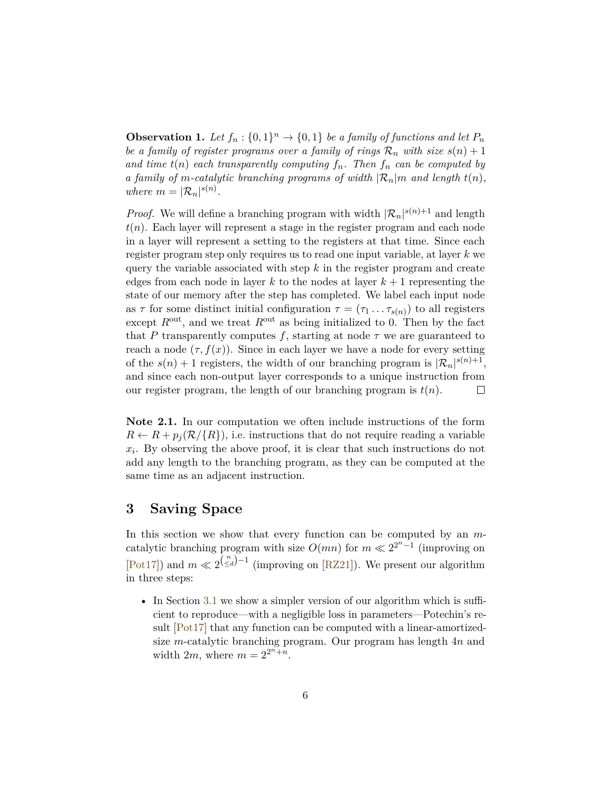<span id="page-6-0"></span>**Observation 1.** Let  $f_n: \{0,1\}^n \to \{0,1\}$  be a family of functions and let  $P_n$ *be a family of register programs over a family of rings*  $\mathcal{R}_n$  *with size*  $s(n) + 1$ *and time*  $t(n)$  *each transparently computing*  $f_n$ *. Then*  $f_n$  *can be computed by a family of m-catalytic branching programs of width*  $\mathcal{R}_n|m$  *and length*  $t(n)$ *, where*  $m = |\mathcal{R}_n|^{s(n)}$ .

*Proof.* We will define a branching program with width  $|\mathcal{R}_n|^{s(n)+1}$  and length  $t(n)$ . Each layer will represent a stage in the register program and each node in a layer will represent a setting to the registers at that time. Since each register program step only requires us to read one input variable, at layer *k* we query the variable associated with step *k* in the register program and create edges from each node in layer  $k$  to the nodes at layer  $k+1$  representing the state of our memory after the step has completed. We label each input node as  $\tau$  for some distinct initial configuration  $\tau = (\tau_1 \dots \tau_{s(n)})$  to all registers except  $R^{\text{out}}$ , and we treat  $R^{\text{out}}$  as being initialized to 0. Then by the fact that *P* transparently computes *f*, starting at node  $\tau$  we are guaranteed to reach a node  $(\tau, f(x))$ . Since in each layer we have a node for every setting of the  $s(n) + 1$  registers, the width of our branching program is  $|\mathcal{R}_n|^{s(n)+1}$ , and since each non-output layer corresponds to a unique instruction from our register program, the length of our branching program is *t*(*n*). П

**Note 2.1.** In our computation we often include instructions of the form  $R \leftarrow R + p_i(\mathcal{R}/\{R\})$ , i.e. instructions that do not require reading a variable *xi* . By observing the above proof, it is clear that such instructions do not add any length to the branching program, as they can be computed at the same time as an adjacent instruction.

## **3 Saving Space**

In this section we show that every function can be computed by an *m*catalytic branching program with size  $O(mn)$  for  $m \ll 2^{2n-1}$  (improving on [\[Pot17\]](#page-32-0)) and  $m \ll 2^{(\frac{n}{\leq d})-1}$  (improving on [\[RZ21\]](#page-32-1)). We present our algorithm in three steps:

• In Section [3.1](#page-8-0) we show a simpler version of our algorithm which is sufficient to reproduce—with a negligible loss in parameters—Potechin's result [\[Pot17\]](#page-32-0) that any function can be computed with a linear-amortizedsize *m*-catalytic branching program. Our program has length 4*n* and width  $2m$ , where  $m = 2^{2n + n}$ .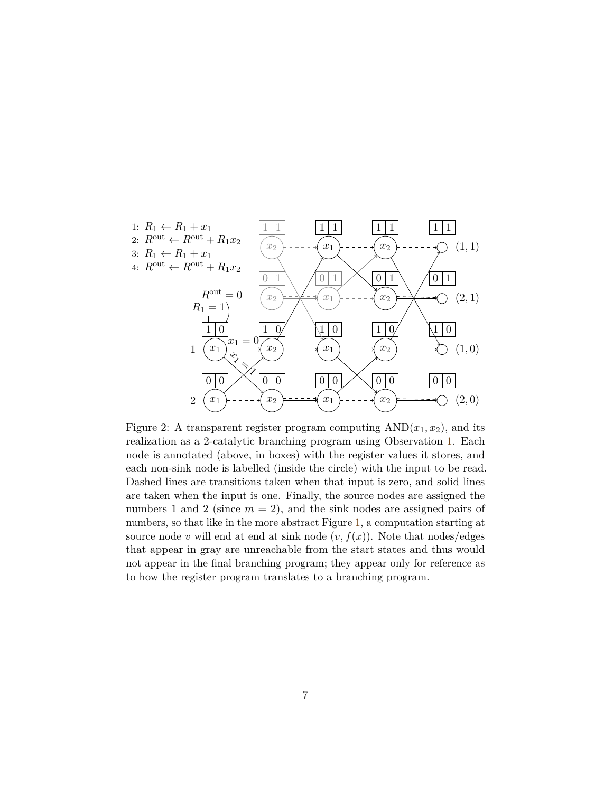

<span id="page-7-0"></span>Figure 2: A transparent register program computing  $AND(x_1, x_2)$ , and its realization as a 2-catalytic branching program using Observation [1.](#page-6-0) Each node is annotated (above, in boxes) with the register values it stores, and each non-sink node is labelled (inside the circle) with the input to be read. Dashed lines are transitions taken when that input is zero, and solid lines are taken when the input is one. Finally, the source nodes are assigned the numbers 1 and 2 (since  $m = 2$ ), and the sink nodes are assigned pairs of numbers, so that like in the more abstract Figure [1,](#page-5-0) a computation starting at source node *v* will end at end at sink node  $(v, f(x))$ . Note that nodes/edges that appear in gray are unreachable from the start states and thus would not appear in the final branching program; they appear only for reference as to how the register program translates to a branching program.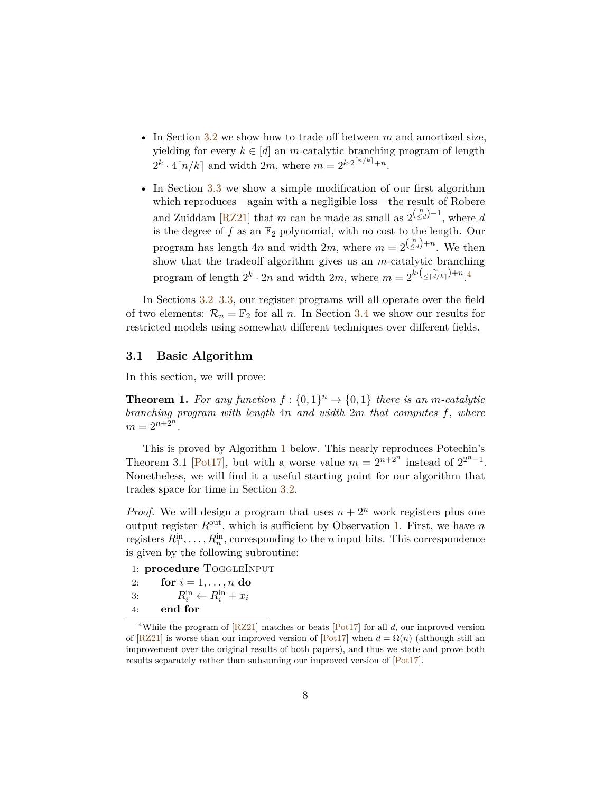- In Section [3.2](#page-10-0) we show how to trade off between *m* and amortized size, yielding for every  $k \in [d]$  an *m*-catalytic branching program of length  $2^k \cdot 4[n/k]$  and width 2*m*, where  $m = 2^{k \cdot 2^{[n/k]} + n}$ .
- In Section [3.3](#page-14-0) we show a simple modification of our first algorithm which reproduces—again with a negligible loss—the result of Robere and Zuiddam [\[RZ21\]](#page-32-1) that *m* can be made as small as  $2^{(\binom{n}{\leq d}-1)}$ , where *d* is the degree of  $f$  as an  $\mathbb{F}_2$  polynomial, with no cost to the length. Our program has length 4*n* and width 2*m*, where  $m = 2^{\binom{n}{\leq d}+n}$ . We then show that the tradeoff algorithm gives us an *m*-catalytic branching program of length  $2^k \cdot 2n$  and width  $2m$ , where  $m = 2^{k \cdot (\leq \lceil \frac{n}{d/k} \rceil) + n}$ .

In Sections [3.2–](#page-10-0)[3.3,](#page-14-0) our register programs will all operate over the field of two elements:  $\mathcal{R}_n = \mathbb{F}_2$  for all *n*. In Section [3.4](#page-17-0) we show our results for restricted models using somewhat different techniques over different fields.

#### <span id="page-8-0"></span>**3.1 Basic Algorithm**

In this section, we will prove:

<span id="page-8-2"></span>**Theorem 1.** For any function  $f: \{0, 1\}^n \to \{0, 1\}$  there is an *m*-catalytic *branching program with length* 4*n and width* 2*m that computes f, where*  $m = 2^{n+2^n}$ .

This is proved by Algorithm [1](#page-10-1) below. This nearly reproduces Potechin's Theorem 3.1 [\[Pot17\]](#page-32-0), but with a worse value  $m = 2^{n+2^n}$  instead of  $2^{2^n-1}$ . Nonetheless, we will find it a useful starting point for our algorithm that trades space for time in Section [3.2.](#page-10-0)

*Proof.* We will design a program that uses  $n + 2^n$  work registers plus one output register *R*out, which is sufficient by Observation [1.](#page-6-0) First, we have *n* registers  $R_1^{\text{in}}, \ldots, R_n^{\text{in}}$ , corresponding to the *n* input bits. This correspondence is given by the following subroutine:

1: **procedure** ToggleInput

- 2: **for**  $i = 1, ..., n$  **do**
- 3:  $R_i^{\text{in}} \leftarrow R_i^{\text{in}} + x_i$
- 4: **end for**

<span id="page-8-1"></span><sup>&</sup>lt;sup>4</sup>While the program of  $[RZ21]$  matches or beats  $[Pot17]$  for all *d*, our improved version of  $[RZ21]$  is worse than our improved version of  $[Pot17]$  when  $d = \Omega(n)$  (although still an improvement over the original results of both papers), and thus we state and prove both results separately rather than subsuming our improved version of [\[Pot17\]](#page-32-0).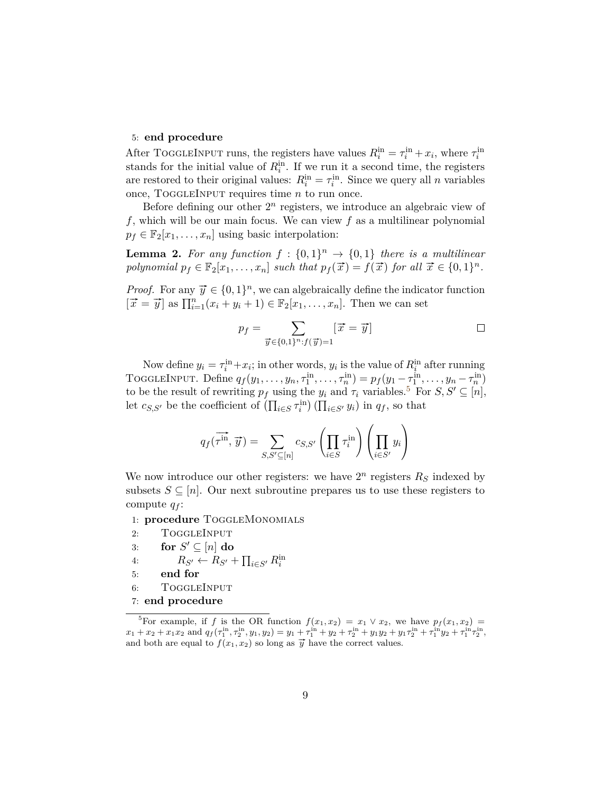### 5: **end procedure**

After TOGGLEINPUT runs, the registers have values  $R_i^{\text{in}} = \tau_i^{\text{in}} + x_i$ , where  $\tau_i^{\text{in}}$ stands for the initial value of  $R_i^{\text{in}}$ . If we run it a second time, the registers are restored to their original values:  $R_i^{\text{in}} = \tau_i^{\text{in}}$ . Since we query all *n* variables once, ToggleInput requires time *n* to run once.

Before defining our other  $2^n$  registers, we introduce an algebraic view of *f*, which will be our main focus. We can view *f* as a multilinear polynomial  $p_f \in \mathbb{F}_2[x_1,\ldots,x_n]$  using basic interpolation:

<span id="page-9-1"></span>**Lemma 2.** For any function  $f : \{0,1\}^n \to \{0,1\}$  there is a multilinear *polynomial*  $p_f \in \mathbb{F}_2[x_1, \ldots, x_n]$  *such that*  $p_f(\vec{x}) = f(\vec{x})$  *for all*  $\vec{x} \in \{0, 1\}^n$ .

*Proof.* For any  $\vec{y} \in \{0, 1\}^n$ , we can algebraically define the indicator function  $[\vec{x} = \vec{y}]$  as  $\prod_{i=1}^{n} (x_i + y_i + 1) \in \mathbb{F}_2[x_1, \dots, x_n]$ . Then we can set

$$
p_f = \sum_{\overrightarrow{y} \in \{0,1\}^n : f(\overrightarrow{y}) = 1} [\overrightarrow{x} = \overrightarrow{y}] \qquad \Box
$$

Now define  $y_i = \tau_i^{\text{in}} + x_i$ ; in other words,  $y_i$  is the value of  $R_i^{\text{in}}$  after running TOGGLEINPUT. Define  $q_f(y_1, ..., y_n, \tau_1^{\text{in}}, ..., \tau_n^{\text{in}}) = p_f(y_1 - \tau_1^{\text{in}}, ..., y_n - \tau_n^{\text{in}})$ to be the result of rewriting  $p_f$  using the  $y_i$  and  $\tau_i$  variables.<sup>[5](#page-9-0)</sup> For  $S, S' \subseteq [n]$ , let  $c_{S,S'}$  be the coefficient of  $(\prod_{i\in S} \tau_i^{\text{in}})(\prod_{i\in S'} y_i)$  in  $q_f$ , so that

$$
q_f(\overrightarrow{\tau}^{\text{in}}, \overrightarrow{y}) = \sum_{S, S' \subseteq [n]} c_{S, S'} \left( \prod_{i \in S} \tau_i^{\text{in}} \right) \left( \prod_{i \in S'} y_i \right)
$$

We now introduce our other registers: we have  $2^n$  registers  $R<sub>S</sub>$  indexed by subsets  $S \subseteq [n]$ . Our next subroutine prepares us to use these registers to compute *q<sup>f</sup>* :

1: **procedure** ToggleMonomials

- 2: TOGGLEINPUT
- 3: **for**  $S' \subseteq [n]$  **do**
- 4:  $R_{S'} \leftarrow R_{S'} + \prod_{i \in S'} R_i^{\text{in}}$
- 5: **end for**
- 6: ToggleInput
- 7: **end procedure**

<span id="page-9-0"></span><sup>&</sup>lt;sup>5</sup>For example, if *f* is the OR function  $f(x_1, x_2) = x_1 \vee x_2$ , we have  $p_f(x_1, x_2) = x_2 \vee x_1$  $x_1 + x_2 + x_1x_2$  and  $q_f(\tau_1^{\text{in}}, \tau_2^{\text{in}}, y_1, y_2) = y_1 + \tau_1^{\text{in}} + y_2 + \tau_2^{\text{in}} + y_1y_2 + y_1\tau_2^{\text{in}} + \tau_1^{\text{in}}y_2 + \tau_1^{\text{in}}\tau_2^{\text{in}}$ and both are equal to  $f(x_1, x_2)$  so long as  $\vec{y}$  have the correct values.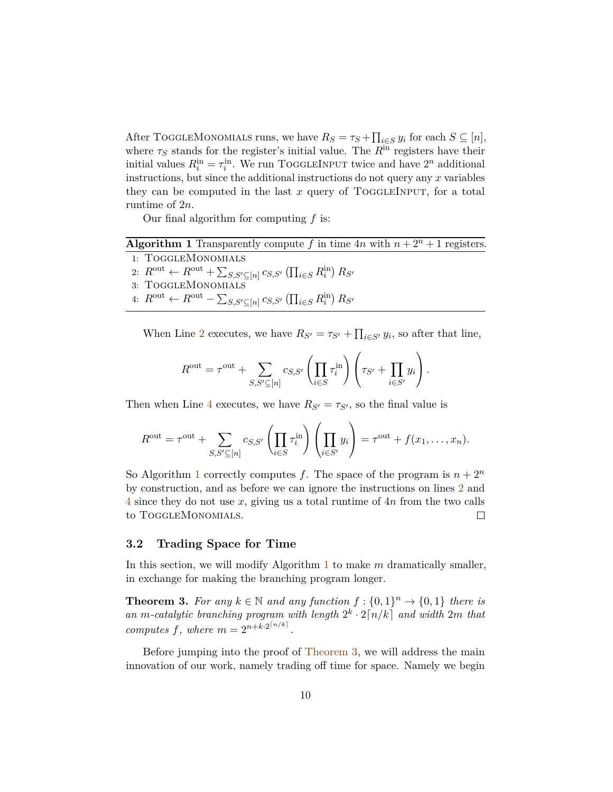After TOGGLEMONOMIALS runs, we have  $R_S = \tau_S + \prod_{i \in S} y_i$  for each  $S \subseteq [n]$ , where  $\tau_S$  stands for the register's initial value. The  $R^{\text{in}}$  registers have their initial values  $R_i^{\text{in}} = \tau_i^{\text{in}}$ . We run TOGGLEINPUT twice and have  $2^n$  additional instructions, but since the additional instructions do not query any *x* variables they can be computed in the last  $x$  query of ToggleINPUT, for a total runtime of 2*n*.

Our final algorithm for computing *f* is:

<span id="page-10-1"></span>**Algorithm 1** Transparently compute f in time  $4n$  with  $n + 2^n + 1$  registers.

1: ToggleMonomials

2:  $R^{\text{out}} \leftarrow R^{\text{out}} + \sum_{S,S' \subseteq [n]} c_{S,S'} (\prod_{i \in S} R_i^{\text{in}}) R_{S'}$ 

- 3: ToggleMonomials
- 4:  $R^{\text{out}}$  ←  $R^{\text{out}}$   $\sum_{S,S'\subseteq[n]} c_{S,S'} \left( \prod_{i \in S} R_i^{\text{in}} \right) R_{S'}$

When Line [2](#page-10-1) executes, we have  $R_{S'} = \tau_{S'} + \prod_{i \in S'} y_i$ , so after that line,

$$
R^{\text{out}} = \tau^{\text{out}} + \sum_{S,S' \subseteq [n]} c_{S,S'} \left( \prod_{i \in S} \tau_i^{\text{in}} \right) \left( \tau_{S'} + \prod_{i \in S'} y_i \right).
$$

Then when Line [4](#page-10-1) executes, we have  $R_{S'} = \tau_{S'}$ , so the final value is

$$
R^{\text{out}} = \tau^{\text{out}} + \sum_{S,S' \subseteq [n]} c_{S,S'} \left( \prod_{i \in S} \tau_i^{\text{in}} \right) \left( \prod_{i \in S'} y_i \right) = \tau^{\text{out}} + f(x_1, \dots, x_n).
$$

So Algorithm [1](#page-10-1) correctly computes *f*. The space of the program is  $n + 2^n$ by construction, and as before we can ignore the instructions on lines [2](#page-10-1) and [4](#page-10-1) since they do not use *x*, giving us a total runtime of 4*n* from the two calls to ToggleMonomials.  $\Box$ 

### <span id="page-10-0"></span>**3.2 Trading Space for Time**

In this section, we will modify Algorithm [1](#page-10-1) to make *m* dramatically smaller, in exchange for making the branching program longer.

<span id="page-10-2"></span>**Theorem 3.** For any  $k \in \mathbb{N}$  and any function  $f: \{0, 1\}^n \rightarrow \{0, 1\}$  there is an *m*-catalytic branching program with length  $2^k \cdot 2\lceil n/k \rceil$  and width  $2m$  that *computes*  $f$ *, where*  $m = 2^{n+k \cdot 2^{\lceil n/k \rceil}}$ *.* 

Before jumping into the proof of [Theorem 3,](#page-10-2) we will address the main innovation of our work, namely trading off time for space. Namely we begin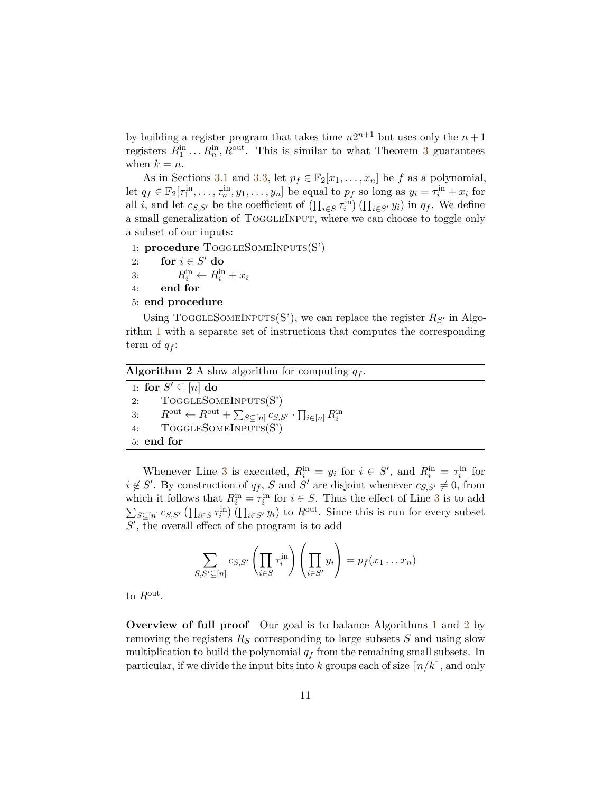by building a register program that takes time  $n2^{n+1}$  but uses only the  $n+1$ registers  $R_1^{\text{in}} \dots R_n^{\text{in}}$ ,  $R^{\text{out}}$ . This is similar to what Theorem [3](#page-10-2) guarantees when  $k = n$ .

As in Sections [3.1](#page-8-0) and [3.3,](#page-14-0) let  $p_f \in \mathbb{F}_2[x_1, \ldots, x_n]$  be *f* as a polynomial, let  $q_f \in \mathbb{F}_2[\tau_1^{\text{in}}, \ldots, \tau_n^{\text{in}}, y_1, \ldots, y_n]$  be equal to  $p_f$  so long as  $y_i = \tau_i^{\text{in}} + x_i$  for all *i*, and let  $c_{S,S'}$  be the coefficient of  $(\prod_{i\in S} \tau_i^{\text{in}})(\prod_{i\in S'} y_i)$  in  $q_f$ . We define a small generalization of TOGGLEINPUT, where we can choose to toggle only a subset of our inputs:

1: **procedure** ToggleSomeInputs(S')

- 2: **for**  $i \in S'$  **do**
- 3:  $R_i^{\text{in}} \leftarrow R_i^{\text{in}} + x_i$
- 4: **end for**
- 5: **end procedure**

Using TOGGLESOMEINPUTS(S'), we can replace the register  $R_{S'}$  in Algorithm [1](#page-10-1) with a separate set of instructions that computes the corresponding term of  $q_f$ :

<span id="page-11-0"></span>**Algorithm 2** A slow algorithm for computing *q<sup>f</sup>* .

1: **for**  $S' \subseteq [n]$  **do** 2: ToggleSomeInputs(S') 3:  $R^{\text{out}} \leftarrow R^{\text{out}} + \sum_{S \subseteq [n]} c_{S,S'} \cdot \prod_{i \in [n]} R_i^{\text{in}}$ <br>4: TOGGLESOMEINPUTS(S') 5: **end for**

Whenever Line [3](#page-11-0) is executed,  $R_i^{\text{in}} = y_i$  for  $i \in S'$ , and  $R_i^{\text{in}} = \tau_i^{\text{in}}$  for  $i \notin S'$ . By construction of  $q_f$ , *S* and *S*<sup>*'*</sup> are disjoint whenever  $c_{S,S'} \neq 0$ , from which it follows that  $R_i^{\text{in}} = \tau_i^{\text{in}}$  for  $i \in S$ . Thus the effect of Line [3](#page-11-0) is to add  $\sum_{S \subseteq [n]} c_{S,S'} (\prod_{i \in S} \tau_i^{\text{in}}) (\prod_{i \in S'} y_i)$  to  $R^{\text{out}}$ . Since this is run for every subset  $S'$ , the overall effect of the program is to add

$$
\sum_{S,S'\subseteq[n]}c_{S,S'}\left(\prod_{i\in S}\tau_i^{\text{in}}\right)\left(\prod_{i\in S'}y_i\right)=p_f(x_1\ldots x_n)
$$

to *R*out .

**Overview of full proof** Our goal is to balance Algorithms [1](#page-10-1) and [2](#page-11-0) by removing the registers  $R<sub>S</sub>$  corresponding to large subsets  $S$  and using slow multiplication to build the polynomial *q<sup>f</sup>* from the remaining small subsets. In particular, if we divide the input bits into *k* groups each of size  $\lceil n/k \rceil$ , and only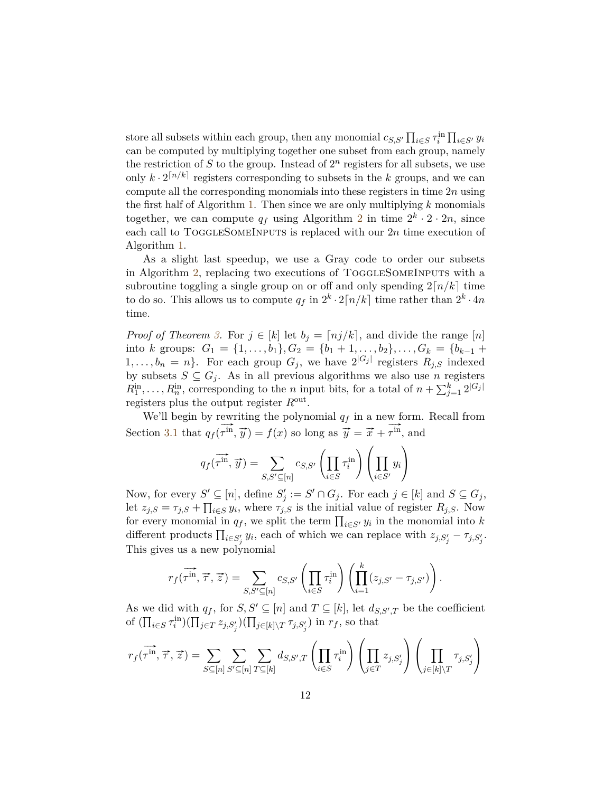store all subsets within each group, then any monomial  $c_{S,S'} \prod_{i \in S} \tau_i^{\text{in}} \prod_{i \in S'} y_i$ can be computed by multiplying together one subset from each group, namely the restriction of  $S$  to the group. Instead of  $2<sup>n</sup>$  registers for all subsets, we use only  $k \cdot 2^{\lceil n/k \rceil}$  registers corresponding to subsets in the *k* groups, and we can compute all the corresponding monomials into these registers in time 2*n* using the first half of Algorithm [1.](#page-10-1) Then since we are only multiplying *k* monomials together, we can compute  $q_f$  using Algorithm [2](#page-11-0) in time  $2^k \cdot 2 \cdot 2n$ , since each call to TOGGLESOMEINPUTS is replaced with our 2*n* time execution of Algorithm [1.](#page-10-1)

As a slight last speedup, we use a Gray code to order our subsets in Algorithm [2,](#page-11-0) replacing two executions of ToggleSomeInputs with a subroutine toggling a single group on or off and only spending  $2\lceil n/k \rceil$  time to do so. This allows us to compute  $q_f$  in  $2^k \cdot 2\lceil n/k \rceil$  time rather than  $2^k \cdot 4n$ time.

*Proof of Theorem [3.](#page-10-2)* For  $j \in [k]$  let  $b_j = \lfloor nj/k \rfloor$ , and divide the range  $[n]$ into *k* groups:  $G_1 = \{1, \ldots, b_1\}$ ,  $G_2 = \{b_1 + 1, \ldots, b_2\}$ , ...,  $G_k = \{b_{k-1} +$  $1, \ldots, b_n = n$ . For each group  $G_j$ , we have  $2^{|G_j|}$  registers  $R_{j,S}$  indexed by subsets  $S \subseteq G_j$ . As in all previous algorithms we also use *n* registers  $R_1^{\text{in}}, \ldots, R_n^{\text{in}}$ , corresponding to the *n* input bits, for a total of  $n + \sum_{j=1}^k 2^{|G_j|}$ registers plus the output register *R*out .

We'll begin by rewriting the polynomial  $q_f$  in a new form. Recall from Section [3.1](#page-8-0) that *q<sup>f</sup>* (  $\frac{1}{x}$  $\overrightarrow{r}$   $\overrightarrow{r}$   $\overrightarrow{y}$   $\overrightarrow{y}$   $\overrightarrow{f}(x)$  so long as  $\overrightarrow{y} = \overrightarrow{x} + \overrightarrow{r}$   $\overrightarrow{r}$ *τ* in, and

$$
q_f(\overrightarrow{\tau^{\text{in}}}, \overrightarrow{y}) = \sum_{S, S' \subseteq [n]} c_{S, S'} \left( \prod_{i \in S} \tau_i^{\text{in}} \right) \left( \prod_{i \in S'} y_i \right)
$$

Now, for every  $S' \subseteq [n]$ , define  $S'_j := S' \cap G_j$ . For each  $j \in [k]$  and  $S \subseteq G_j$ , let  $z_{j,S} = \tau_{j,S} + \prod_{i \in S} y_i$ , where  $\tau_{j,S}$  is the initial value of register  $R_{j,S}$ . Now for every monomial in  $q_f$ , we split the term  $\prod_{i \in S'} y_i$  in the monomial into *k* different products  $\prod_{i \in S'_j} y_i$ , each of which we can replace with  $z_{j, S'_j} - \tau_{j, S'_j}$ . This gives us a new polynomial

$$
r_f(\overrightarrow{\tau}^{\text{in}}, \overrightarrow{\tau}, \overrightarrow{z}) = \sum_{S, S' \subseteq [n]} c_{S, S'} \left( \prod_{i \in S} \tau_i^{\text{in}} \right) \left( \prod_{i=1}^k (z_{j, S'} - \tau_{j, S'}) \right).
$$

As we did with  $q_f$ , for  $S, S' \subseteq [n]$  and  $T \subseteq [k]$ , let  $d_{S, S', T}$  be the coefficient of  $(\prod_{i\in S} \tau_i^{\text{in}})(\prod_{j\in T} z_{j,S'_j})(\prod_{j\in [k]\setminus T} \tau_{j,S'_j})$  in  $r_f$ , so that

$$
r_f(\overrightarrow{\tau}^{\text{in}}, \overrightarrow{\tau}, \overrightarrow{z}) = \sum_{S \subseteq [n]} \sum_{S' \subseteq [n]} \sum_{T \subseteq [k]} d_{S, S', T} \left( \prod_{i \in S} \tau_i^{\text{in}} \right) \left( \prod_{j \in T} z_{j, S'_j} \right) \left( \prod_{j \in [k] \backslash T} \tau_{j, S'_j} \right)
$$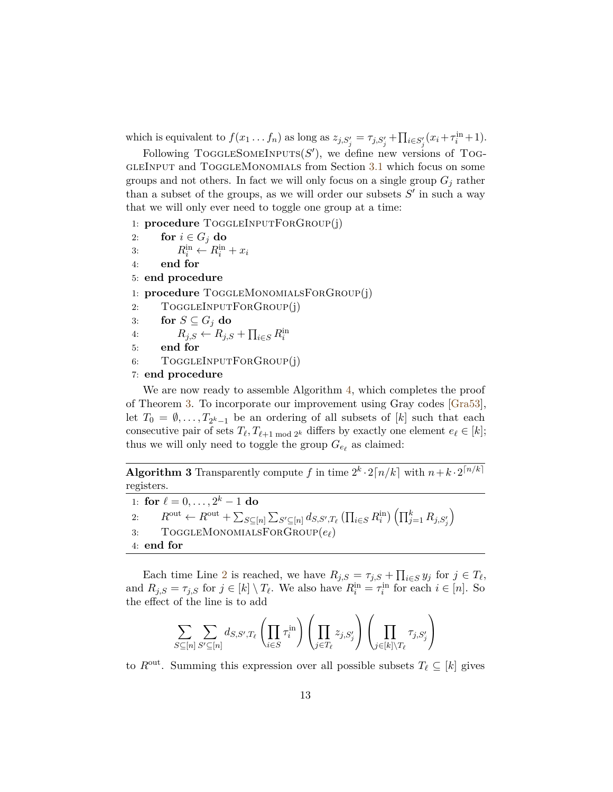which is equivalent to  $f(x_1 \ldots f_n)$  as long as  $z_{j,S'_j} = \tau_{j,S'_j} + \prod_{i \in S'_j} (x_i + \tau_i^{\text{in}} + 1)$ .

Following TOGGLESOMEINPUTS $(S')$ , we define new versions of TOG-GLEINPUT and TOGGLEMONOMIALS from Section [3.1](#page-8-0) which focus on some groups and not others. In fact we will only focus on a single group  $G_i$  rather than a subset of the groups, as we will order our subsets  $S'$  in such a way that we will only ever need to toggle one group at a time:

1: **procedure** ToggleInputForGroup(j)

- 2: **for**  $i \in G_j$  **do**
- 3:  $R_i^{\text{in}} \leftarrow R_i^{\text{in}} + x_i$
- 4: **end for**
- 5: **end procedure**
- 1: **procedure** ToggleMonomialsForGroup(j)
- 2: TOGGLEINPUTFORGROUP(j)
- 3: **for**  $S \subseteq G_j$  **do**
- 4:  $R_{j,S} \leftarrow R_{j,S} + \prod_{i \in S} R_i^{\text{in}}$
- 5: **end for**
- 6: TOGGLEINPUTFORGROUP(j)
- 7: **end procedure**

We are now ready to assemble Algorithm [4,](#page-13-0) which completes the proof of Theorem [3.](#page-10-2) To incorporate our improvement using Gray codes [\[Gra53\]](#page-32-8), let  $T_0 = \emptyset, \ldots, T_{2^k-1}$  be an ordering of all subsets of  $[k]$  such that each consecutive pair of sets  $T_{\ell}, T_{\ell+1 \mod 2^k}$  differs by exactly one element  $e_{\ell} \in [k]$ ; thus we will only need to toggle the group  $G_{e_\ell}$  as claimed:

<span id="page-13-0"></span>**Algorithm 3** Transparently compute f in time  $2^k \cdot 2\lceil n/k \rceil$  with  $n+k \cdot 2^{\lceil n/k \rceil}$ registers.

1: **for**  $\ell = 0, \ldots, 2^k - 1$  **do** 2:  $R^{\text{out}} \leftarrow R^{\text{out}} + \sum_{S \subseteq [n]} \sum_{S' \subseteq [n]} d_{S,S',T_{\ell}} (\prod_{i \in S} R^{\text{in}}_i) (\prod_{j=1}^k R_{j,S'_j})$  $\setminus$ 3: ToggleMonomialsForGroup(*e`*) 4: **end for**

Each time Line [2](#page-13-0) is reached, we have  $R_{j,S} = \tau_{j,S} + \prod_{i \in S} y_i$  for  $j \in T_\ell$ , and  $R_{j,S} = \tau_{j,S}$  for  $j \in [k] \setminus T_{\ell}$ . We also have  $R_i^{\text{in}} = \tau_i^{\text{in}}$  for each  $i \in [n]$ . So the effect of the line is to add

$$
\sum_{S \subseteq [n]} \sum_{S' \subseteq [n]} d_{S,S',T_{\ell}} \left( \prod_{i \in S} \tau_i^{\text{in}} \right) \left( \prod_{j \in T_{\ell}} z_{j,S'_j} \right) \left( \prod_{j \in [k] \backslash T_{\ell}} \tau_{j,S'_j} \right)
$$

to  $R^{\text{out}}$ . Summing this expression over all possible subsets  $T_\ell \subseteq [k]$  gives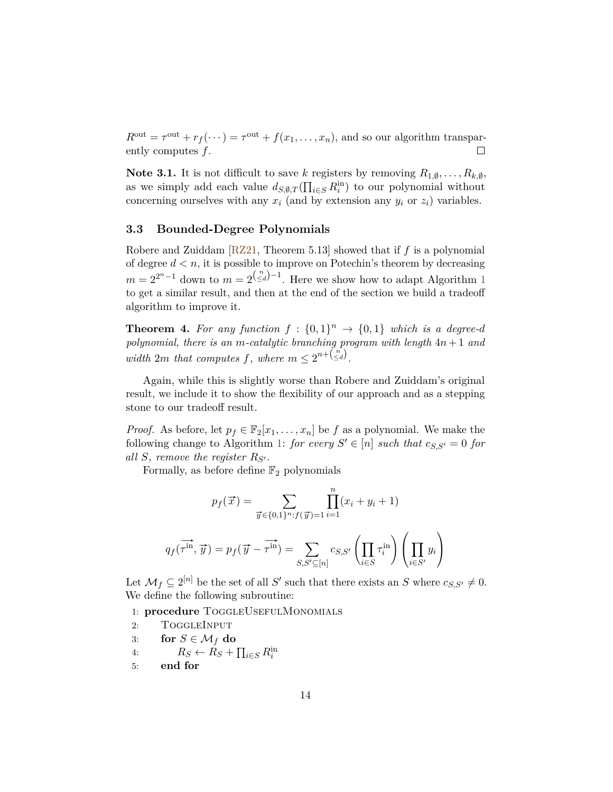$R^{\text{out}} = \tau^{\text{out}} + r_f(\dots) = \tau^{\text{out}} + f(x_1, \dots, x_n)$ , and so our algorithm transparently computes *f*.  $\Box$ 

**Note 3.1.** It is not difficult to save *k* registers by removing  $R_{1,\emptyset}, \ldots, R_{k,\emptyset}$ , as we simply add each value  $d_{S,\emptyset,T}(\prod_{i\in S} R_i^{\text{in}})$  to our polynomial without concerning ourselves with any  $x_i$  (and by extension any  $y_i$  or  $z_i$ ) variables.

#### <span id="page-14-0"></span>**3.3 Bounded-Degree Polynomials**

Robere and Zuiddam [\[RZ21,](#page-32-1) Theorem 5.13] showed that if *f* is a polynomial of degree  $d < n$ , it is possible to improve on Potechin's theorem by decreasing  $m = 2^{2^{n}-1}$  $m = 2^{2^{n}-1}$  $m = 2^{2^{n}-1}$  down to  $m = 2^{\binom{n}{\leq d}-1}$ . Here we show how to adapt Algorithm 1 to get a similar result, and then at the end of the section we build a tradeoff algorithm to improve it.

<span id="page-14-1"></span>**Theorem 4.** For any function  $f : \{0,1\}^n \to \{0,1\}$  which is a degree-d *polynomial, there is an m-catalytic branching program with length* 4*n* + 1 *and width*  $2m$  *that computes*  $f$ *, where*  $m \leq 2^{n + \binom{n}{\leq d}}$ *.* 

Again, while this is slightly worse than Robere and Zuiddam's original result, we include it to show the flexibility of our approach and as a stepping stone to our tradeoff result.

*Proof.* As before, let  $p_f \in \mathbb{F}_2[x_1, \ldots, x_n]$  be f as a polynomial. We make the following change to Algorithm [1:](#page-10-1) *for every*  $S' \in [n]$  *such that*  $c_{S,S'} = 0$  *for all S, remove the register*  $R_{S'}$ *.* 

Formally, as before define  $\mathbb{F}_2$  polynomials

$$
p_f(\vec{x}) = \sum_{\vec{y} \in \{0,1\}^n : f(\vec{y}) = 1} \prod_{i=1}^n (x_i + y_i + 1)
$$

$$
q_f(\overrightarrow{r}^{\text{in}}, \vec{y}) = p_f(\overrightarrow{y} - \overrightarrow{r}^{\text{in}}) = \sum_{S, S' \subseteq [n]} c_{S, S'} \left( \prod_{i \in S} \tau_i^{\text{in}} \right) \left( \prod_{i \in S'} y_i \right)
$$

Let  $\mathcal{M}_f \subseteq 2^{[n]}$  be the set of all *S'* such that there exists an *S* where  $c_{S,S'} \neq 0$ . We define the following subroutine:

1: **procedure** TOGGLEUSEFULMONOMIALS

2: ToggleInput

- 3: **for**  $S \in \mathcal{M}_f$  **do**
- 4:  $R_S \leftarrow R_S + \prod_{i \in S} R_i^{\text{in}}$
- 5: **end for**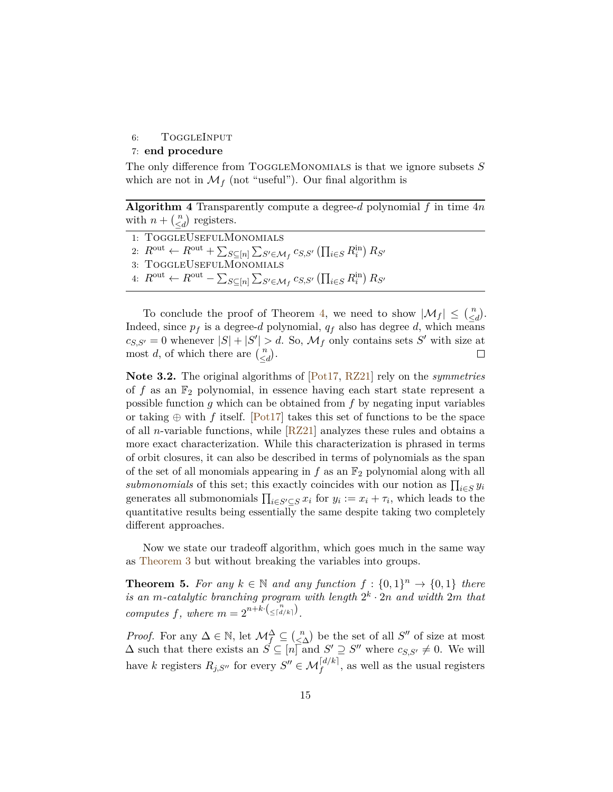#### 6: TOGGLEINPUT

### 7: **end procedure**

The only difference from ToggleMonomials is that we ignore subsets *S* which are not in  $\mathcal{M}_f$  (not "useful"). Our final algorithm is

**Algorithm 4** Transparently compute a degree- $d$  polynomial  $f$  in time  $4n$ with  $n + \binom{n}{\leq d}$  registers.

| 1: TOGGLEUSEFULMONOMIALS                                                                                                                             |  |
|------------------------------------------------------------------------------------------------------------------------------------------------------|--|
| 2: $R^{\text{out}} \leftarrow R^{\text{out}} + \sum_{S \subseteq [n]} \sum_{S' \in \mathcal{M}_f} c_{S,S'} (\prod_{i \in S} R_i^{\text{in}}) R_{S'}$ |  |
| 3: TOGGLEUSEFULMONOMIALS                                                                                                                             |  |
| 4: $R^{\text{out}} \leftarrow R^{\text{out}} - \sum_{S \subseteq [n]} \sum_{S' \in \mathcal{M}_f} c_{S,S'} (\prod_{i \in S} R_i^{\text{in}}) R_{S'}$ |  |
|                                                                                                                                                      |  |

To conclude the proof of Theorem [4,](#page-14-1) we need to show  $|\mathcal{M}_f| \leq {n \choose \leq d}$ . Indeed, since  $p_f$  is a degree-*d* polynomial,  $q_f$  also has degree *d*, which means  $c_{S,S'} = 0$  whenever  $|S| + |S'| > d$ . So,  $\mathcal{M}_f$  only contains sets *S*<sup>*r*</sup> with size at most *d*, of which there are  $\begin{pmatrix} n \\ \leq d \end{pmatrix}$ . П

**Note 3.2.** The original algorithms of [\[Pot17,](#page-32-0) [RZ21\]](#page-32-1) rely on the *symmetries* of  $f$  as an  $\mathbb{F}_2$  polynomial, in essence having each start state represent a possible function *g* which can be obtained from *f* by negating input variables or taking  $\oplus$  with *f* itself. [\[Pot17\]](#page-32-0) takes this set of functions to be the space of all *n*-variable functions, while [\[RZ21\]](#page-32-1) analyzes these rules and obtains a more exact characterization. While this characterization is phrased in terms of orbit closures, it can also be described in terms of polynomials as the span of the set of all monomials appearing in  $f$  as an  $\mathbb{F}_2$  polynomial along with all *submonomials* of this set; this exactly coincides with our notion as  $\prod_{i \in S} y_i$ generates all submonomials  $\prod_{i \in S' \subseteq S} x_i$  for  $y_i := x_i + \tau_i$ , which leads to the quantitative results being essentially the same despite taking two completely different approaches.

Now we state our tradeoff algorithm, which goes much in the same way as [Theorem 3](#page-10-2) but without breaking the variables into groups.

<span id="page-15-0"></span>**Theorem 5.** For any  $k \in \mathbb{N}$  and any function  $f: \{0, 1\}^n \to \{0, 1\}$  there *is an m-catalytic branching program with length*  $2^k \cdot 2n$  *and width*  $2m$  *that computes*  $f$ *, where*  $m = 2^{n+k} \left( \frac{n}{\leq |d/k|} \right)$ .

*Proof.* For any  $\Delta \in \mathbb{N}$ , let  $\mathcal{M}_f^{\Delta} \subseteq \binom{n}{\leq \Delta}$  be the set of all *S*<sup>*n*</sup> of size at most  $\Delta$  such that there exists an  $\overrightarrow{S} \subseteq [n]$  and  $S' \supseteq S''$  where  $c_{S,S'} \neq 0$ . We will have *k* registers  $R_{j,S''}$  for every  $S'' \in \mathcal{M}^{\lceil d/k \rceil}_f$ , as well as the usual registers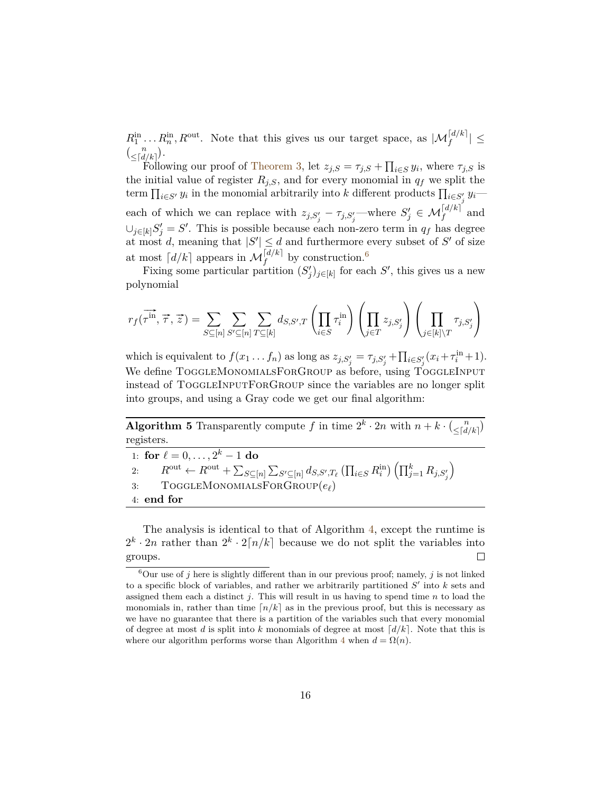$R_1^{\text{in}} \dots R_n^{\text{in}}$ ,  $R^{\text{out}}$ . Note that this gives us our target space, as  $|\mathcal{M}_f^{[d/k]}| \leq$  $\binom{n}{\leq d/k}$ .

Following our proof of [Theorem 3,](#page-10-2) let  $z_{j,S} = \tau_{j,S} + \prod_{i \in S} y_i$ , where  $\tau_{j,S}$  is the initial value of register  $R_{j,S}$ , and for every monomial in  $q_f$  we split the term  $\prod_{i \in S'} y_i$  in the monomial arbitrarily into *k* different products  $\prod_{i \in S'_i} y_i$ *j* each of which we can replace with  $z_{j,S'_j} - \tau_{j,S'_j}$ —where  $S'_j \in \mathcal{M}_f^{\lfloor d/k \rfloor}$  and  $\cup_{j\in[k]} S'_j = S'.$  This is possible because each non-zero term in  $q_f$  has degree at most *d*, meaning that  $|S'| \le d$  and furthermore every subset of S' of size at most  $\lceil d/k \rceil$  appears in  $\mathcal{M}^{\lceil d/k \rceil}_f$  by construction.<sup>[6](#page-16-0)</sup>

Fixing some particular partition  $(S'_j)_{j \in [k]}$  for each  $S'$ , this gives us a new polynomial

$$
r_f(\overrightarrow{\tau^{in}}, \overrightarrow{\tau}, \overrightarrow{z}) = \sum_{S \subseteq [n]} \sum_{S' \subseteq [n]} \sum_{T \subseteq [k]} d_{S, S', T} \left( \prod_{i \in S} \tau_i^{in} \right) \left( \prod_{j \in T} z_{j, S'_j} \right) \left( \prod_{j \in [k] \backslash T} \tau_{j, S'_j} \right)
$$

which is equivalent to  $f(x_1 \ldots f_n)$  as long as  $z_{j,S'_j} = \tau_{j,S'_j} + \prod_{i \in S'_j} (x_i + \tau_i^{\text{in}} + 1)$ . We define TOGGLEMONOMIALSFORGROUP as before, using TOGGLEINPUT instead of TOGGLEINPUTFORGROUP since the variables are no longer split into groups, and using a Gray code we get our final algorithm:

**Algorithm 5** Transparently compute *f* in time  $2^k \cdot 2n$  with  $n + k \cdot \binom{n}{\leq d/k}$ registers.

 $\setminus$ 

1: **for**  $\ell = 0, \ldots, 2^k - 1$  **do** 2:  $R^{\text{out}} \leftarrow R^{\text{out}} + \sum_{S \subseteq [n]} \sum_{S' \subseteq [n]} d_{S,S',T_{\ell}} (\prod_{i \in S} R^{\text{in}}_i) (\prod_{j=1}^k R_{j,S'_j})$ 3: ToggleMonomialsForGroup(*e`*) 4: **end for**

The analysis is identical to that of Algorithm [4,](#page-13-0) except the runtime is  $2^k \cdot 2n$  rather than  $2^k \cdot 2[n/k]$  because we do not split the variables into groups.  $\Box$ 

<span id="page-16-0"></span> ${}^6$ Our use of *j* here is slightly different than in our previous proof; namely, *j* is not linked to a specific block of variables, and rather we arbitrarily partitioned  $S'$  into  $k$  sets and assigned them each a distinct *j*. This will result in us having to spend time *n* to load the monomials in, rather than time  $n/k$  as in the previous proof, but this is necessary as we have no guarantee that there is a partition of the variables such that every monomial of degree at most *d* is split into *k* monomials of degree at most  $\lceil d/k \rceil$ . Note that this is where our algorithm performs worse than Algorithm [4](#page-13-0) when  $d = \Omega(n)$ .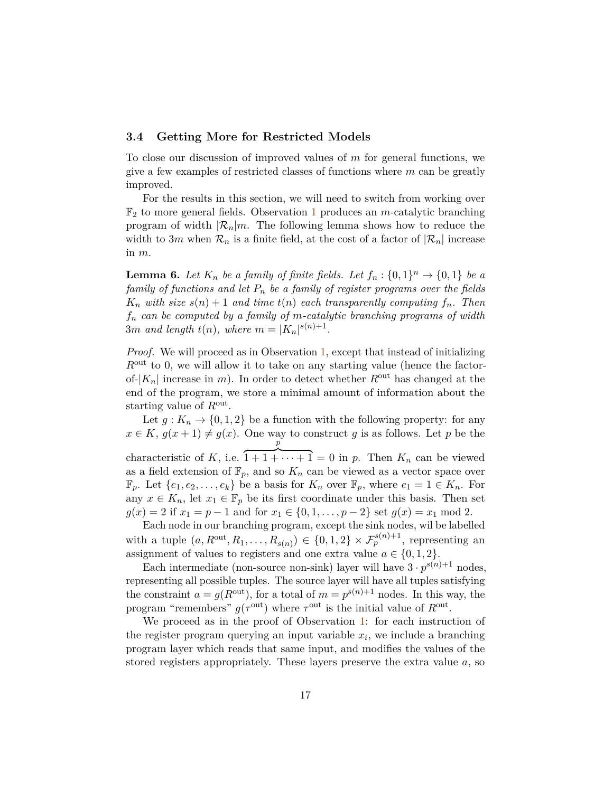#### <span id="page-17-0"></span>**3.4 Getting More for Restricted Models**

To close our discussion of improved values of *m* for general functions, we give a few examples of restricted classes of functions where *m* can be greatly improved.

For the results in this section, we will need to switch from working over F<sup>2</sup> to more general fields. Observation [1](#page-6-0) produces an *m*-catalytic branching program of width  $\mathcal{R}_n|m$ . The following lemma shows how to reduce the width to 3*m* when  $\mathcal{R}_n$  is a finite field, at the cost of a factor of  $|\mathcal{R}_n|$  increase in *m*.

<span id="page-17-1"></span>**Lemma 6.** Let  $K_n$  be a family of finite fields. Let  $f_n: \{0,1\}^n \to \{0,1\}$  be a *family of functions and let P<sup>n</sup> be a family of register programs over the fields*  $K_n$  *with size*  $s(n) + 1$  *and time*  $t(n)$  *each transparently computing*  $f_n$ *. Then f<sup>n</sup> can be computed by a family of m-catalytic branching programs of width* 3*m* and length  $t(n)$ , where  $m = |K_n|^{s(n)+1}$ .

*Proof.* We will proceed as in Observation [1,](#page-6-0) except that instead of initializing *R*out to 0, we will allow it to take on any starting value (hence the factorof- $|K_n|$  increase in *m*). In order to detect whether  $R^{\text{out}}$  has changed at the end of the program, we store a minimal amount of information about the starting value of *R*out .

Let  $g: K_n \to \{0,1,2\}$  be a function with the following property: for any  $x \in K$ ,  $g(x+1) \neq g(x)$ . One way to construct *g* is as follows. Let *p* be the characteristic of *K*, i.e. *p*  $\overline{1+1+\cdots+1} = 0$  in *p*. Then  $K_n$  can be viewed as a field extension of  $\mathbb{F}_p$ , and so  $K_n$  can be viewed as a vector space over  $\mathbb{F}_p$ . Let  $\{e_1, e_2, \ldots, e_k\}$  be a basis for  $K_n$  over  $\mathbb{F}_p$ , where  $e_1 = 1 \in K_n$ . For any  $x \in K_n$ , let  $x_1 \in \mathbb{F}_p$  be its first coordinate under this basis. Then set  $g(x) = 2$  if  $x_1 = p - 1$  and for  $x_1 \in \{0, 1, \ldots, p - 2\}$  set  $g(x) = x_1 \mod 2$ .

Each node in our branching program, except the sink nodes, wil be labelled with a tuple  $(a, R^{\text{out}}, R_1, \ldots, R_{s(n)}) \in \{0, 1, 2\} \times \mathcal{F}_{p}^{s(n)+1}$ , representing an assignment of values to registers and one extra value  $a \in \{0, 1, 2\}.$ 

Each intermediate (non-source non-sink) layer will have  $3 \cdot p^{s(n)+1}$  nodes, representing all possible tuples. The source layer will have all tuples satisfying the constraint  $a = g(R^{\text{out}})$ , for a total of  $m = p^{s(n)+1}$  nodes. In this way, the program "remembers"  $g(\tau^{\text{out}})$  where  $\tau^{\text{out}}$  is the initial value of  $R^{\text{out}}$ .

We proceed as in the proof of Observation [1:](#page-6-0) for each instruction of the register program querying an input variable *x<sup>i</sup>* , we include a branching program layer which reads that same input, and modifies the values of the stored registers appropriately. These layers preserve the extra value *a*, so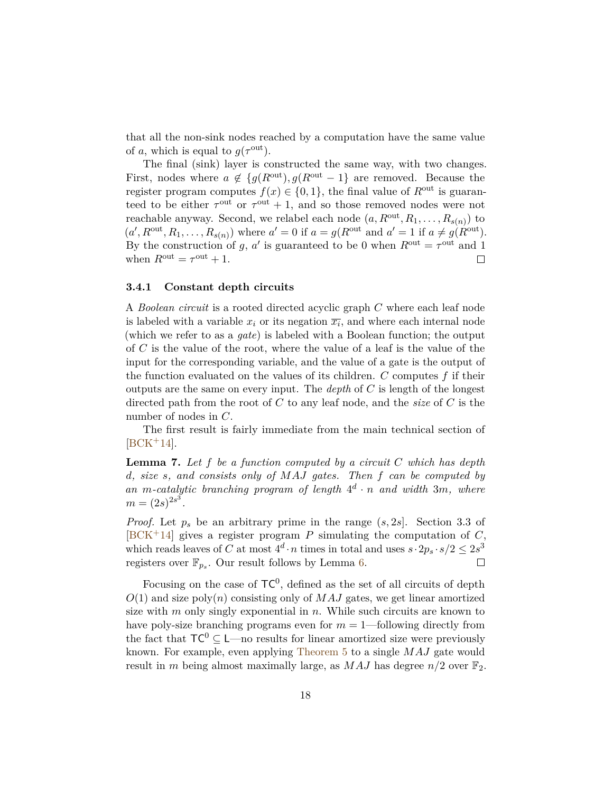that all the non-sink nodes reached by a computation have the same value of *a*, which is equal to  $g(\tau^{\text{out}})$ .

The final (sink) layer is constructed the same way, with two changes. First, nodes where  $a \notin \{g(R^{\text{out}}), g(R^{\text{out}}-1)\}$  are removed. Because the register program computes  $f(x) \in \{0, 1\}$ , the final value of  $R^{\text{out}}$  is guaranteed to be either  $\tau^{\text{out}}$  or  $\tau^{\text{out}} + 1$ , and so those removed nodes were not reachable anyway. Second, we relabel each node  $(a, R^{\text{out}}, R_1, \ldots, R_{s(n)})$  to  $(a', R^{\text{out}}, R_1, \ldots, R_{s(n)})$  where  $a' = 0$  if  $a = g(R^{\text{out}} \text{ and } a' = 1$  if  $a \neq g(R^{\text{out}})$ . By the construction of *g*, *a'* is guaranteed to be 0 when  $R^{\text{out}} = \tau^{\text{out}}$  and 1 when  $R^{\text{out}} = \tau^{\text{out}} + 1$ .  $\Box$ 

#### **3.4.1 Constant depth circuits**

A *Boolean circuit* is a rooted directed acyclic graph *C* where each leaf node is labeled with a variable  $x_i$  or its negation  $\overline{x_i}$ , and where each internal node (which we refer to as a *gate*) is labeled with a Boolean function; the output of *C* is the value of the root, where the value of a leaf is the value of the input for the corresponding variable, and the value of a gate is the output of the function evaluated on the values of its children. *C* computes *f* if their outputs are the same on every input. The *depth* of *C* is length of the longest directed path from the root of *C* to any leaf node, and the *size* of *C* is the number of nodes in *C*.

The first result is fairly immediate from the main technical section of  $[BCK^+14]$  $[BCK^+14]$ .

**Lemma 7.** *Let f be a function computed by a circuit C which has depth d, size s, and consists only of MAJ gates. Then f can be computed by* an *m*-catalytic branching program of length  $4^d \cdot n$  and width 3*m*, where  $m = (2s)^{2s^3}.$ 

*Proof.* Let *p<sup>s</sup>* be an arbitrary prime in the range (*s,* 2*s*]. Section 3.3 of  $[BCK^+14]$  $[BCK^+14]$  gives a register program P simulating the computation of C, which reads leaves of *C* at most  $4^d \cdot n$  times in total and uses  $s \cdot 2p_s \cdot s/2 \leq 2s^3$ registers over  $\mathbb{F}_{p_s}$ . Our result follows by Lemma [6.](#page-17-1)

Focusing on the case of  $TC^0$ , defined as the set of all circuits of depth  $O(1)$  and size poly $(n)$  consisting only of *MAJ* gates, we get linear amortized size with *m* only singly exponential in *n*. While such circuits are known to have poly-size branching programs even for *m* = 1—following directly from the fact that  $TC^0 \subseteq L$ —no results for linear amortized size were previously known. For example, even applying [Theorem 5](#page-15-0) to a single *MAJ* gate would result in *m* being almost maximally large, as  $MAJ$  has degree  $n/2$  over  $\mathbb{F}_2$ .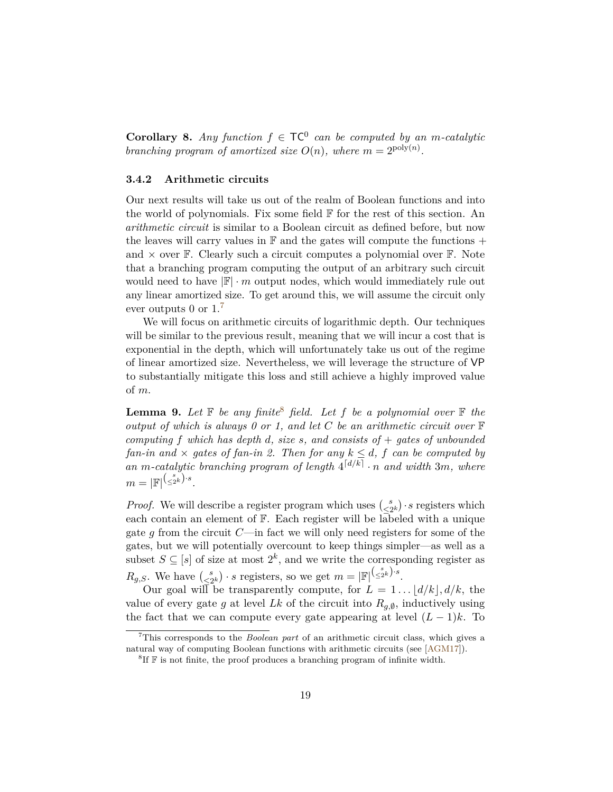**Corollary 8.** *Any function*  $f \in \mathsf{TC}^0$  *can be computed by an m-catalytic branching program of amortized size*  $O(n)$ *, where*  $m = 2^{\text{poly}(n)}$ *.* 

#### **3.4.2 Arithmetic circuits**

Our next results will take us out of the realm of Boolean functions and into the world of polynomials. Fix some field  $\mathbb F$  for the rest of this section. An *arithmetic circuit* is similar to a Boolean circuit as defined before, but now the leaves will carry values in  $\mathbb F$  and the gates will compute the functions  $+$ and  $\times$  over  $\mathbb{F}$ . Clearly such a circuit computes a polynomial over  $\mathbb{F}$ . Note that a branching program computing the output of an arbitrary such circuit would need to have  $\mathbb{F} \cdot m$  output nodes, which would immediately rule out any linear amortized size. To get around this, we will assume the circuit only ever outputs 0 or  $1<sup>7</sup>$  $1<sup>7</sup>$  $1<sup>7</sup>$ 

We will focus on arithmetic circuits of logarithmic depth. Our techniques will be similar to the previous result, meaning that we will incur a cost that is exponential in the depth, which will unfortunately take us out of the regime of linear amortized size. Nevertheless, we will leverage the structure of VP to substantially mitigate this loss and still achieve a highly improved value of *m*.

**Lemma 9.** Let  $\mathbb F$  be any finite<sup>[8](#page-19-1)</sup> field. Let  $f$  be a polynomial over  $\mathbb F$  the *output of which is always 0 or 1, and let C be an arithmetic circuit over* F *computing f which has depth d, size s, and consists of* + *gates of unbounded fan-in and*  $\times$  *gates of fan-in 2. Then for any*  $k \leq d$ , *f can be computed by* an *m*-catalytic branching program of length  $4^{[d/k]} \cdot n$  and width 3*m*, where  $m=|\mathbb{F}|^{\left(\frac{s}{\leq 2^k}\right)\cdot s}.$ 

*Proof.* We will describe a register program which uses  $\binom{s}{s}$  $\leq 2^{s}$  · *s* registers which each contain an element of F. Each register will be labeled with a unique gate *g* from the circuit *C*—in fact we will only need registers for some of the gates, but we will potentially overcount to keep things simpler—as well as a subset  $S \subseteq [s]$  of size at most  $2^k$ , and we write the corresponding register as  $R_{g,S}$ . We have  $\binom{s}{s}$  $\frac{s}{\leq 2^k}$  · *s* registers, so we get  $m = |\mathbb{F}|^{\left(\frac{s}{\leq 2^k}\right) \cdot s}$ .

Our goal will be transparently compute, for  $L = 1 \dots |d/k|, d/k$ , the value of every gate *g* at level *Lk* of the circuit into  $R_{g,\emptyset}$ , inductively using the fact that we can compute every gate appearing at level  $(L-1)k$ . To

<span id="page-19-0"></span><sup>7</sup>This corresponds to the *Boolean part* of an arithmetic circuit class, which gives a natural way of computing Boolean functions with arithmetic circuits (see [\[AGM17\]](#page-31-0)).

<span id="page-19-1"></span> ${}^{8}$ If  $\mathbb{F}$  is not finite, the proof produces a branching program of infinite width.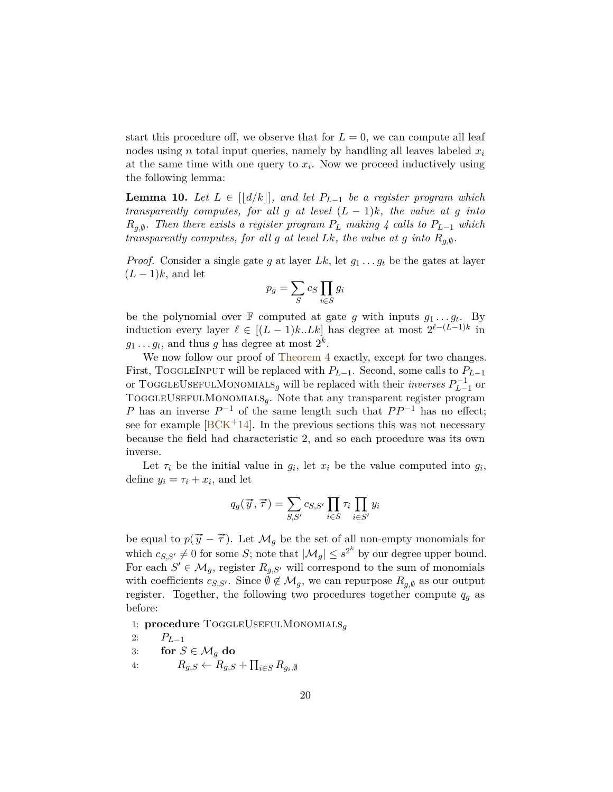start this procedure off, we observe that for  $L = 0$ , we can compute all leaf nodes using *n* total input queries, namely by handling all leaves labeled *x<sup>i</sup>* at the same time with one query to  $x_i$ . Now we proceed inductively using the following lemma:

**Lemma 10.** *Let*  $L \in ||d/k||$ *, and let*  $P_{L-1}$  *be a register program which transparently computes, for all g at level*  $(L-1)k$ *, the value at g into Rg,*<sup>∅</sup> *. Then there exists a register program P<sup>L</sup> making 4 calls to PL*−<sup>1</sup> *which transparently computes, for all g at level Lk, the value at g into*  $R_{g,\emptyset}$ *.* 

*Proof.* Consider a single gate *g* at layer *Lk*, let  $g_1 \ldots g_t$  be the gates at layer  $(L-1)k$ , and let

$$
p_g = \sum_{S} c_S \prod_{i \in S} g_i
$$

be the polynomial over  $\mathbb{F}$  computed at gate *g* with inputs  $g_1 \ldots g_t$ . By induction every layer  $\ell \in [(L-1)k..Lk]$  has degree at most  $2^{\ell-(L-1)k}$  in  $g_1 \ldots g_t$ , and thus *g* has degree at most  $2^k$ .

We now follow our proof of [Theorem 4](#page-14-1) exactly, except for two changes. First, ToggleInput will be replaced with *PL*−1. Second, some calls to *PL*−<sup>1</sup> or TOGGLEUSEFULMONOMIALS<sub>g</sub> will be replaced with their *inverses*  $P_{L-1}^{-1}$  or TOGGLEUSEFULMONOMIALS<sub>q</sub>. Note that any transparent register program *P* has an inverse  $P^{-1}$  of the same length such that  $PP^{-1}$  has no effect; see for example  $[BCK^+14]$  $[BCK^+14]$ . In the previous sections this was not necessary because the field had characteristic 2, and so each procedure was its own inverse.

Let  $\tau_i$  be the initial value in  $g_i$ , let  $x_i$  be the value computed into  $g_i$ , define  $y_i = \tau_i + x_i$ , and let

$$
q_g(\vec{y}, \vec{\tau}) = \sum_{S, S'} c_{S, S'} \prod_{i \in S} \tau_i \prod_{i \in S'} y_i
$$

be equal to  $p(\vec{y} - \vec{\tau})$ . Let  $\mathcal{M}_g$  be the set of all non-empty monomials for which  $c_{S,S'} \neq 0$  for some *S*; note that  $|\mathcal{M}_g| \leq s^{2^k}$  by our degree upper bound. For each  $S' \in \mathcal{M}_g$ , register  $R_{g,S'}$  will correspond to the sum of monomials with coefficients  $c_{S,S'}$ . Since  $\emptyset \notin \mathcal{M}_g$ , we can repurpose  $R_{g,\emptyset}$  as our output register. Together, the following two procedures together compute  $q<sub>q</sub>$  as before:

1: **procedure** ToggleUsefulMonomials*<sup>g</sup>*

$$
2: \qquad P_{L-1}
$$

- 3: **for**  $S \in \mathcal{M}_q$  **do**
- 4:  $R_{g,S} \leftarrow R_{g,S} + \prod_{i \in S} R_{g_i,\emptyset}$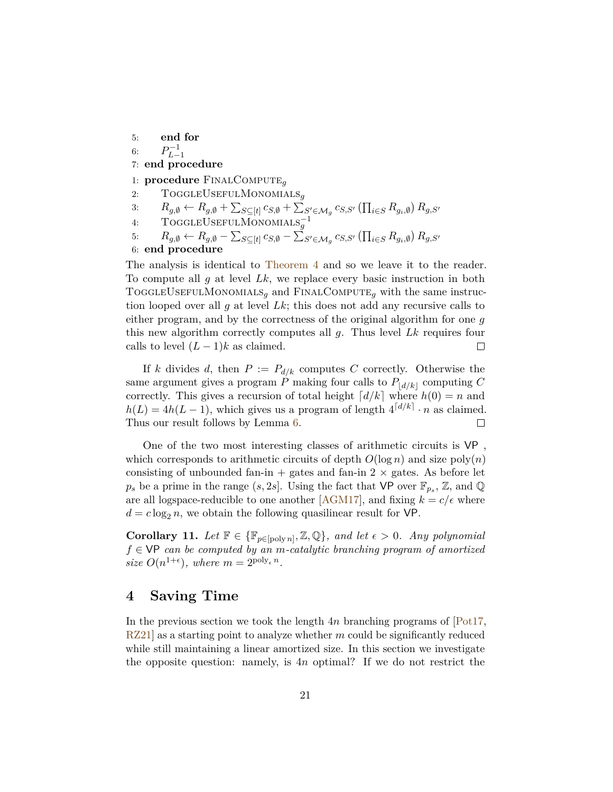5: **end for**

6:  $P_{L-1}^{-1}$ 

7: **end procedure**

1: **procedure** FinalCompute*<sup>g</sup>*

- 2: ToggleUsefulMonomials*<sup>g</sup>*
- 3:  $R_{g,\emptyset} \leftarrow R_{g,\emptyset} + \sum_{S \subseteq [t]} c_{S,\emptyset} + \sum_{S' \in \mathcal{M}_g} c_{S,S'} (\prod_{i \in S} R_{g_i,\emptyset}) R_{g,S'}$
- 4: ToggleUsefulMonomials−<sup>1</sup> *g*

5: 
$$
R_{g,\emptyset} \leftarrow R_{g,\emptyset} - \sum_{S \subseteq [t]} c_{S,\emptyset} - \sum_{S' \in \mathcal{M}_g} c_{S,S'} (\prod_{i \in S} R_{g_i,\emptyset}) R_{g,S'}
$$

6: **end procedure**

The analysis is identical to [Theorem 4](#page-14-1) and so we leave it to the reader. To compute all *g* at level *Lk*, we replace every basic instruction in both TOGGLEUSEFULMONOMIALS<sub>q</sub> and FINALCOMPUTE<sub>q</sub> with the same instruction looped over all *g* at level *Lk*; this does not add any recursive calls to either program, and by the correctness of the original algorithm for one *g* this new algorithm correctly computes all *g*. Thus level *Lk* requires four calls to level  $(L-1)k$  as claimed.  $\Box$ 

If *k* divides *d*, then  $P := P_{d/k}$  computes *C* correctly. Otherwise the same argument gives a program *P* making four calls to  $P_{\lfloor d/k \rfloor}$  computing *C* correctly. This gives a recursion of total height  $\lceil d/k \rceil$  where  $h(0) = n$  and  $h(L) = 4h(L-1)$ , which gives us a program of length  $4\frac{d}{k} \cdot n$  as claimed. Thus our result follows by Lemma [6.](#page-17-1)  $\Box$ 

One of the two most interesting classes of arithmetic circuits is VP , which corresponds to arithmetic circuits of depth  $O(\log n)$  and size  $poly(n)$ consisting of unbounded fan-in  $+$  gates and fan-in  $2 \times$  gates. As before let  $p_s$  be a prime in the range  $(s, 2s]$ . Using the fact that VP over  $\mathbb{F}_{p_s}$ , Z, and Q are all logspace-reducible to one another [\[AGM17\]](#page-31-0), and fixing  $k = c/\epsilon$  where  $d = c \log_2 n$ , we obtain the following quasilinear result for VP.

**Corollary 11.** Let  $\mathbb{F} \in \{\mathbb{F}_{p \in [poly n]}, \mathbb{Z}, \mathbb{Q}\}$ , and let  $\epsilon > 0$ . Any polynomial *f* ∈ VP *can be computed by an m-catalytic branching program of amortized size*  $O(n^{1+\epsilon})$ *, where*  $m = 2^{\text{poly}_{\epsilon} n}$ *.* 

### <span id="page-21-0"></span>**4 Saving Time**

In the previous section we took the length 4*n* branching programs of [\[Pot17,](#page-32-0) [RZ21\]](#page-32-1) as a starting point to analyze whether *m* could be significantly reduced while still maintaining a linear amortized size. In this section we investigate the opposite question: namely, is 4*n* optimal? If we do not restrict the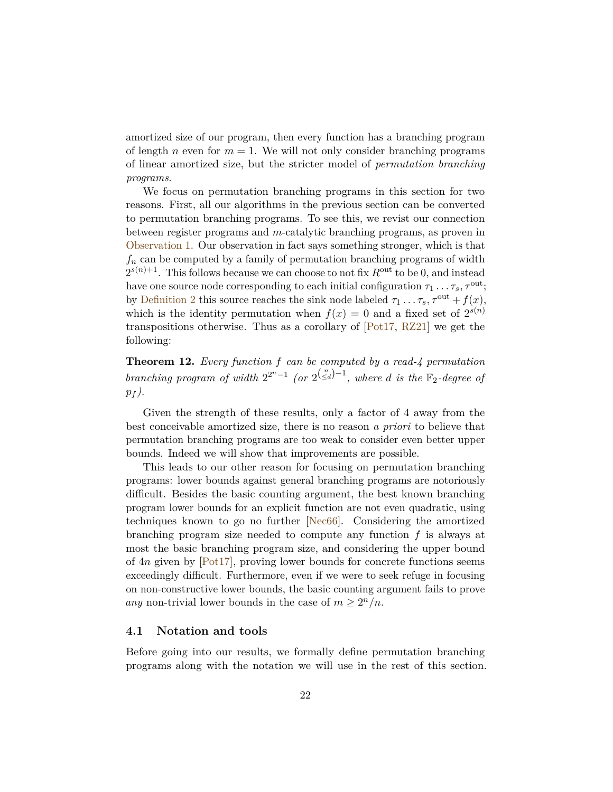amortized size of our program, then every function has a branching program of length *n* even for  $m = 1$ . We will not only consider branching programs of linear amortized size, but the stricter model of *permutation branching programs*.

We focus on permutation branching programs in this section for two reasons. First, all our algorithms in the previous section can be converted to permutation branching programs. To see this, we revist our connection between register programs and *m*-catalytic branching programs, as proven in [Observation 1.](#page-6-0) Our observation in fact says something stronger, which is that  $f_n$  can be computed by a family of permutation branching programs of width  $2^{s(n)+1}$ . This follows because we can choose to not fix  $R^{\text{out}}$  to be 0, and instead have one source node corresponding to each initial configuration  $\tau_1 \ldots \tau_s$ ,  $\tau^{\text{out}}$ ; by [Definition 2](#page-5-1) this source reaches the sink node labeled  $\tau_1 \dots \tau_s$ ,  $\tau^{out} + f(x)$ , which is the identity permutation when  $f(x) = 0$  and a fixed set of  $2^{s(n)}$ transpositions otherwise. Thus as a corollary of [\[Pot17,](#page-32-0) [RZ21\]](#page-32-1) we get the following:

**Theorem 12.** *Every function f can be computed by a read-4 permutation branching program of width*  $2^{2^n-1}$  *(or*  $2^{\binom{n}{\leq d}-1}$ *, where d is the*  $\mathbb{F}_2$ -degree of  $p_f$ ).

Given the strength of these results, only a factor of 4 away from the best conceivable amortized size, there is no reason *a priori* to believe that permutation branching programs are too weak to consider even better upper bounds. Indeed we will show that improvements are possible.

This leads to our other reason for focusing on permutation branching programs: lower bounds against general branching programs are notoriously difficult. Besides the basic counting argument, the best known branching program lower bounds for an explicit function are not even quadratic, using techniques known to go no further [\[Nec66\]](#page-32-9). Considering the amortized branching program size needed to compute any function *f* is always at most the basic branching program size, and considering the upper bound of 4*n* given by [\[Pot17\]](#page-32-0), proving lower bounds for concrete functions seems exceedingly difficult. Furthermore, even if we were to seek refuge in focusing on non-constructive lower bounds, the basic counting argument fails to prove any non-trivial lower bounds in the case of  $m \geq 2^n/n$ .

#### **4.1 Notation and tools**

Before going into our results, we formally define permutation branching programs along with the notation we will use in the rest of this section.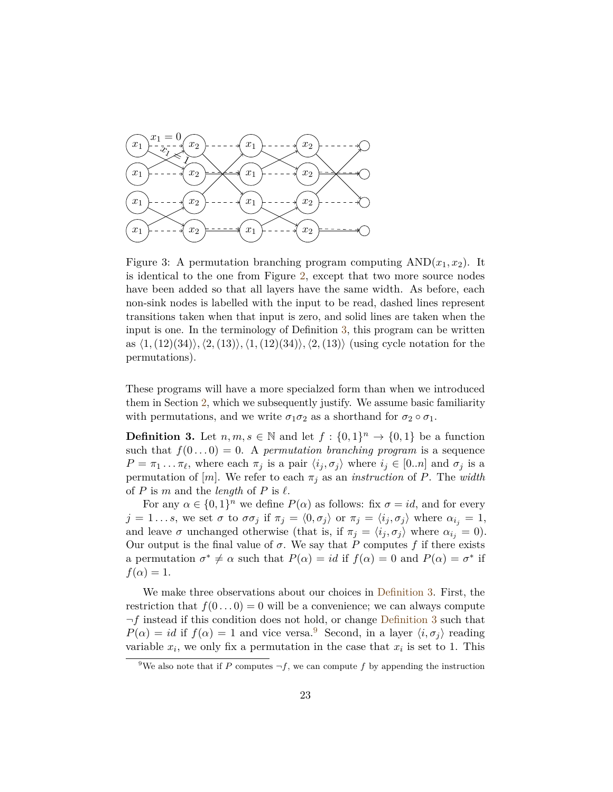

Figure 3: A permutation branching program computing  $AND(x_1, x_2)$ . It is identical to the one from Figure [2,](#page-7-0) except that two more source nodes have been added so that all layers have the same width. As before, each non-sink nodes is labelled with the input to be read, dashed lines represent transitions taken when that input is zero, and solid lines are taken when the input is one. In the terminology of Definition [3,](#page-23-0) this program can be written as  $\langle 1, (12)(34) \rangle$ ,  $\langle 2, (13) \rangle$ ,  $\langle 1, (12)(34) \rangle$ ,  $\langle 2, (13) \rangle$  (using cycle notation for the permutations).

These programs will have a more specialzed form than when we introduced them in Section [2,](#page-3-0) which we subsequently justify. We assume basic familiarity with permutations, and we write  $\sigma_1 \sigma_2$  as a shorthand for  $\sigma_2 \circ \sigma_1$ .

<span id="page-23-0"></span>**Definition 3.** Let  $n, m, s \in \mathbb{N}$  and let  $f: \{0, 1\}^n \to \{0, 1\}$  be a function such that  $f(0...0) = 0$ . A *permutation branching program* is a sequence  $P = \pi_1 \dots \pi_\ell$ , where each  $\pi_j$  is a pair  $\langle i_j, \sigma_j \rangle$  where  $i_j \in [0..n]$  and  $\sigma_j$  is a permutation of  $[m]$ . We refer to each  $\pi_j$  as an *instruction* of *P*. The *width* of *P* is *m* and the *length* of *P* is  $\ell$ .

For any  $\alpha \in \{0,1\}^n$  we define  $P(\alpha)$  as follows: fix  $\sigma = id$ , and for every  $j = 1...s$ , we set  $\sigma$  to  $\sigma \sigma_j$  if  $\pi_j = \langle 0, \sigma_j \rangle$  or  $\pi_j = \langle i_j, \sigma_j \rangle$  where  $\alpha_{i_j} = 1$ , and leave  $\sigma$  unchanged otherwise (that is, if  $\pi_j = \langle i_j, \sigma_j \rangle$  where  $\alpha_{i_j} = 0$ ). Our output is the final value of  $\sigma$ . We say that *P* computes *f* if there exists a permutation  $\sigma^* \neq \alpha$  such that  $P(\alpha) = id$  if  $f(\alpha) = 0$  and  $P(\alpha) = \sigma^*$  if  $f(\alpha) = 1$ .

We make three observations about our choices in [Definition 3.](#page-23-0) First, the restriction that  $f(0...0) = 0$  will be a convenience; we can always compute ¬*f* instead if this condition does not hold, or change [Definition 3](#page-23-0) such that  $P(\alpha) = id$  if  $f(\alpha) = 1$  and vice versa.<sup>[9](#page-23-1)</sup> Second, in a layer  $\langle i, \sigma_j \rangle$  reading variable  $x_i$ , we only fix a permutation in the case that  $x_i$  is set to 1. This

<span id="page-23-1"></span><sup>&</sup>lt;sup>9</sup>We also note that if *P* computes  $\neg f$ , we can compute *f* by appending the instruction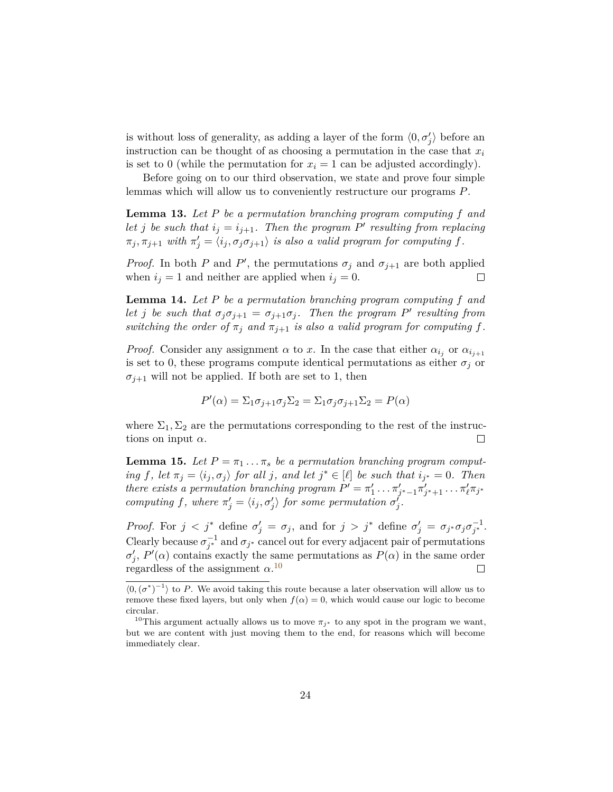is without loss of generality, as adding a layer of the form  $\langle 0, \sigma'_j \rangle$  before an instruction can be thought of as choosing a permutation in the case that *x<sup>i</sup>* is set to 0 (while the permutation for  $x_i = 1$  can be adjusted accordingly).

Before going on to our third observation, we state and prove four simple lemmas which will allow us to conveniently restructure our programs *P*.

<span id="page-24-2"></span>**Lemma 13.** *Let P be a permutation branching program computing f and let j be such that*  $i_j = i_{j+1}$ *. Then the program P*<sup> $\prime$ </sup> *resulting from replacing*  $\pi_j, \pi_{j+1}$  *with*  $\pi'_j = \langle i_j, \sigma_j \sigma_{j+1} \rangle$  *is also a valid program for computing*  $f$ *.* 

*Proof.* In both *P* and *P*<sup> $\prime$ </sup>, the permutations  $\sigma_j$  and  $\sigma_{j+1}$  are both applied when  $i_j = 1$  and neither are applied when  $i_j = 0$ .  $\Box$ 

<span id="page-24-3"></span>**Lemma 14.** *Let P be a permutation branching program computing f and let j be such that*  $\sigma_j \sigma_{j+1} = \sigma_{j+1} \sigma_j$ . Then the program P' resulting from *switching the order of*  $\pi_j$  *and*  $\pi_{j+1}$  *is also a valid program for computing*  $f$ *.* 

*Proof.* Consider any assignment  $\alpha$  to *x*. In the case that either  $\alpha_{i_j}$  or  $\alpha_{i_{j+1}}$ is set to 0, these programs compute identical permutations as either  $\sigma_j$  or  $\sigma_{j+1}$  will not be applied. If both are set to 1, then

$$
P'(\alpha) = \sum_{1} \sigma_{j+1} \sigma_{j} \sum_{2} = \sum_{1} \sigma_{j} \sigma_{j+1} \sum_{2} = P(\alpha)
$$

where  $\Sigma_1, \Sigma_2$  are the permutations corresponding to the rest of the instructions on input  $\alpha$ .  $\Box$ 

<span id="page-24-1"></span>**Lemma 15.** *Let*  $P = \pi_1 \dots \pi_s$  *be a permutation branching program computing f*, let  $\pi_j = \langle i_j, \sigma_j \rangle$  *for all j*, and let  $j^* \in [\ell]$  *be such that*  $i_{j^*} = 0$ *. Then there exists a permutation branching program*  $P' = \pi'_1 \dots \pi'_{j^*-1} \pi'_{j^*+1} \dots \pi'_{\ell} \pi_{j^*}$ *computing*  $f$ *, where*  $\pi'_j = \langle i_j, \sigma'_j \rangle$  for some permutation  $\sigma'_j$ .

*Proof.* For  $j < j^*$  define  $\sigma'_j = \sigma_j$ , and for  $j > j^*$  define  $\sigma'_j = \sigma_{j^*}\sigma_j\sigma_{j^*}^{-1}$ . Clearly because  $\sigma_{j^*}^{-1}$  and  $\sigma_{j^*}$  cancel out for every adjacent pair of permutations  $\sigma'_{j}$ , *P*<sup>'</sup>(*α*) contains exactly the same permutations as *P*(*α*) in the same order regardless of the assignment  $\alpha$ <sup>[10](#page-24-0)</sup>  $\Box$ 

 $\langle 0, (\sigma^*)^{-1} \rangle$  to P. We avoid taking this route because a later observation will allow us to remove these fixed layers, but only when  $f(\alpha) = 0$ , which would cause our logic to become circular.

<span id="page-24-0"></span><sup>&</sup>lt;sup>10</sup>This argument actually allows us to move  $\pi_{j^*}$  to any spot in the program we want, but we are content with just moving them to the end, for reasons which will become immediately clear.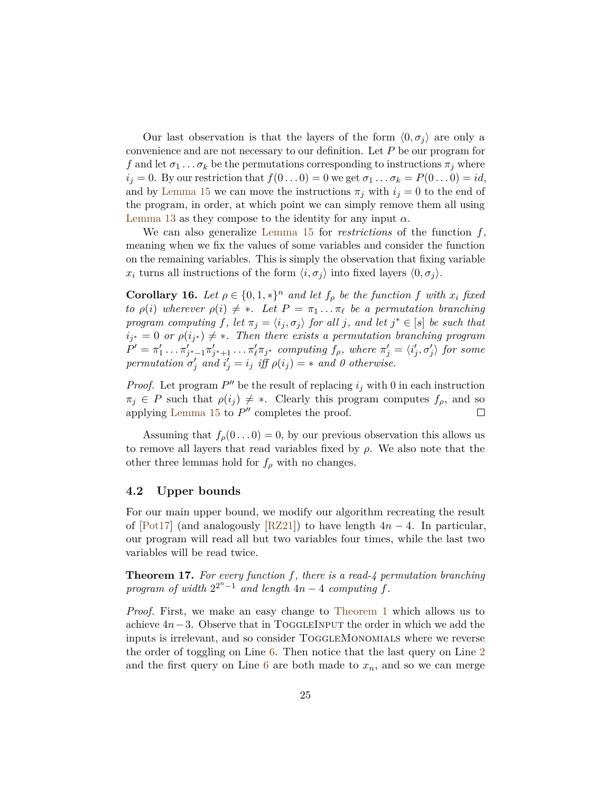Our last observation is that the layers of the form  $\langle 0, \sigma_i \rangle$  are only a convenience and are not necessary to our definition. Let *P* be our program for *f* and let  $\sigma_1 \ldots \sigma_k$  be the permutations corresponding to instructions  $\pi_j$  where *i*<sub>*j*</sub> = 0. By our restriction that  $f(0...0) = 0$  we get  $\sigma_1 ... \sigma_k = P(0...0) = id$ , and by [Lemma 15](#page-24-1) we can move the instructions  $\pi_j$  with  $i_j = 0$  to the end of the program, in order, at which point we can simply remove them all using [Lemma 13](#page-24-2) as they compose to the identity for any input  $\alpha$ .

We can also generalize [Lemma 15](#page-24-1) for *restrictions* of the function *f*, meaning when we fix the values of some variables and consider the function on the remaining variables. This is simply the observation that fixing variable *x*<sub>*i*</sub> turns all instructions of the form  $\langle i, \sigma_j \rangle$  into fixed layers  $\langle 0, \sigma_j \rangle$ .

<span id="page-25-1"></span>**Corollary 16.** *Let*  $\rho \in \{0, 1, *\}^n$  *and let*  $f_\rho$  *be the function*  $f$  *with*  $x_i$  *fixed to*  $\rho(i)$  wherever  $\rho(i) \neq *$ *. Let*  $P = \pi_1 \dots \pi_\ell$  *be a permutation branching program computing*  $f$ *, let*  $\pi_j = \langle i_j, \sigma_j \rangle$  *for all j, and let*  $j^* \in [s]$  *be such that*  $i_{j^*} = 0$  *or*  $\rho(i_{j^*}) \neq *$ . Then there exists a permutation branching program  $P' = \pi'_1 \dots \pi'_{j^*-1} \pi'_{j^*+1} \dots \pi'_{\ell} \pi_{j^*}$  computing  $f_{\rho}$ , where  $\pi'_j = \langle i'_j, \sigma'_j \rangle$  for some *permutation*  $\sigma'_j$  *and*  $i'_j = i_j$  *iff*  $\rho(i_j) = *$  *and* 0 *otherwise.* 

*Proof.* Let program  $P''$  be the result of replacing  $i_j$  with 0 in each instruction  $\pi_j \in P$  such that  $\rho(i_j) \neq *$ . Clearly this program computes  $f_\rho$ , and so applying Lemma  $15$  to  $P''$  completes the proof.  $\Box$ 

Assuming that  $f_\rho(0 \dots 0) = 0$ , by our previous observation this allows us to remove all layers that read variables fixed by *ρ*. We also note that the other three lemmas hold for  $f_\rho$  with no changes.

#### **4.2 Upper bounds**

For our main upper bound, we modify our algorithm recreating the result of [\[Pot17\]](#page-32-0) (and analogously [\[RZ21\]](#page-32-1)) to have length 4*n* − 4. In particular, our program will read all but two variables four times, while the last two variables will be read twice.

<span id="page-25-0"></span>**Theorem 17.** *For every function f, there is a read-4 permutation branching program of width*  $2^{2^n-1}$  *and length*  $4n-4$  *computing*  $f$ *.* 

*Proof.* First, we make an easy change to [Theorem 1](#page-8-2) which allows us to achieve 4*n*−3. Observe that in ToggleInput the order in which we add the inputs is irrelevant, and so consider ToggleMonomials where we reverse the order of toggling on Line [6.](#page-9-1) Then notice that the last query on Line [2](#page-9-1) and the first query on Line [6](#page-9-1) are both made to  $x_n$ , and so we can merge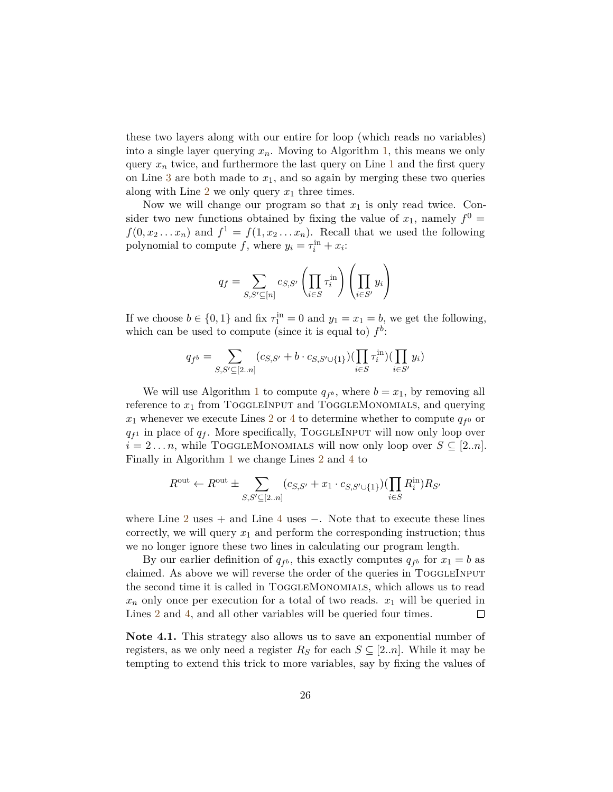these two layers along with our entire for loop (which reads no variables) into a single layer querying *xn*. Moving to Algorithm [1,](#page-10-1) this means we only query  $x_n$  twice, and furthermore the last query on Line [1](#page-10-1) and the first query on Line [3](#page-10-1) are both made to  $x_1$ , and so again by merging these two queries along with Line [2](#page-10-1) we only query *x*<sup>1</sup> three times.

Now we will change our program so that  $x_1$  is only read twice. Consider two new functions obtained by fixing the value of  $x_1$ , namely  $f^0$  =  $f(0, x_2 \ldots x_n)$  and  $f^1 = f(1, x_2 \ldots x_n)$ . Recall that we used the following polynomial to compute  $f$ , where  $y_i = \tau_i^{\text{in}} + x_i$ :

$$
q_f = \sum_{S,S' \subseteq [n]} c_{S,S'} \left( \prod_{i \in S} \tau_i^{\text{in}} \right) \left( \prod_{i \in S'} y_i \right)
$$

If we choose  $b \in \{0, 1\}$  and fix  $\tau_1^{\text{in}} = 0$  and  $y_1 = x_1 = b$ , we get the following, which can be used to compute (since it is equal to)  $f^b$ :

$$
q_{f^b} = \sum_{S,S' \subseteq [2..n]} (c_{S,S'} + b \cdot c_{S,S' \cup \{1\}}) (\prod_{i \in S} \tau_i^{\text{in}}) (\prod_{i \in S'} y_i)
$$

We will use Algorithm [1](#page-10-1) to compute  $q_{f^b}$ , where  $b = x_1$ , by removing all reference to  $x_1$  from TOGGLEINPUT and TOGGLEMONOMIALS, and querying  $x_1$  whenever we execute Lines [2](#page-10-1) or [4](#page-10-1) to determine whether to compute  $q_{f}$ <sup>0</sup> or  $q_{f}$ <sup>1</sup> in place of  $q_f$ . More specifically, TOGGLEINPUT will now only loop over  $i = 2...n$ , while TOGGLEMONOMIALS will now only loop over  $S \subseteq [2..n]$ . Finally in Algorithm [1](#page-10-1) we change Lines [2](#page-10-1) and [4](#page-10-1) to

$$
R^{\text{out}} \leftarrow R^{\text{out}} \pm \sum_{S, S' \subseteq [2..n]} (c_{S, S'} + x_1 \cdot c_{S, S' \cup \{1\}}) (\prod_{i \in S} R_i^{\text{in}}) R_{S'}
$$

where Line [2](#page-10-1) uses  $+$  and Line [4](#page-10-1) uses  $-$ . Note that to execute these lines correctly, we will query  $x_1$  and perform the corresponding instruction; thus we no longer ignore these two lines in calculating our program length.

By our earlier definition of  $q_{f^b}$ , this exactly computes  $q_{f^b}$  for  $x_1 = b$  as claimed. As above we will reverse the order of the queries in TOGGLEINPUT the second time it is called in ToggleMonomials, which allows us to read  $x_n$  only once per execution for a total of two reads.  $x_1$  will be queried in Lines [2](#page-10-1) and [4,](#page-10-1) and all other variables will be queried four times.  $\Box$ 

**Note 4.1.** This strategy also allows us to save an exponential number of registers, as we only need a register  $R<sub>S</sub>$  for each  $S \subseteq [2..n]$ . While it may be tempting to extend this trick to more variables, say by fixing the values of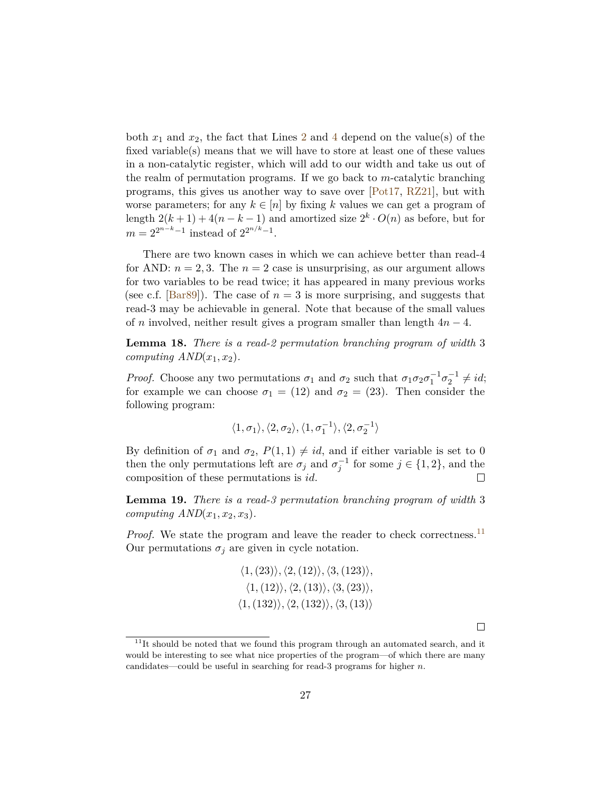both  $x_1$  and  $x_2$  $x_2$ , the fact that Lines 2 and [4](#page-10-1) depend on the value(s) of the fixed variable(s) means that we will have to store at least one of these values in a non-catalytic register, which will add to our width and take us out of the realm of permutation programs. If we go back to *m*-catalytic branching programs, this gives us another way to save over [\[Pot17,](#page-32-0) [RZ21\]](#page-32-1), but with worse parameters; for any  $k \in [n]$  by fixing k values we can get a program of length  $2(k+1) + 4(n-k-1)$  and amortized size  $2<sup>k</sup> \cdot O(n)$  as before, but for  $m = 2^{2^{n-k}-1}$  instead of  $2^{2^{n/k}-1}$ .

There are two known cases in which we can achieve better than read-4 for AND:  $n = 2, 3$ . The  $n = 2$  case is unsurprising, as our argument allows for two variables to be read twice; it has appeared in many previous works (see c.f. [\[Bar89\]](#page-32-10)). The case of  $n=3$  is more surprising, and suggests that read-3 may be achievable in general. Note that because of the small values of *n* involved, neither result gives a program smaller than length 4*n* − 4.

**Lemma 18.** *There is a read-2 permutation branching program of width* 3 *computing*  $AND(x_1, x_2)$ *.* 

*Proof.* Choose any two permutations  $\sigma_1$  and  $\sigma_2$  such that  $\sigma_1 \sigma_2 \sigma_1^{-1} \sigma_2^{-1} \neq id;$ for example we can choose  $\sigma_1 = (12)$  and  $\sigma_2 = (23)$ . Then consider the following program:

$$
\langle 1, \sigma_1 \rangle, \langle 2, \sigma_2 \rangle, \langle 1, \sigma_1^{-1} \rangle, \langle 2, \sigma_2^{-1} \rangle
$$

By definition of  $\sigma_1$  and  $\sigma_2$ ,  $P(1,1) \neq id$ , and if either variable is set to 0 then the only permutations left are  $\sigma_j$  and  $\sigma_j^{-1}$  for some  $j \in \{1, 2\}$ , and the composition of these permutations is *id*.

**Lemma 19.** *There is a read-3 permutation branching program of width* 3 *computing*  $AND(x_1, x_2, x_3)$ *.* 

*Proof.* We state the program and leave the reader to check correctness.<sup>[11](#page-27-0)</sup> Our permutations  $\sigma_j$  are given in cycle notation.

$$
\langle 1, (23) \rangle, \langle 2, (12) \rangle, \langle 3, (123) \rangle, \n\langle 1, (12) \rangle, \langle 2, (13) \rangle, \langle 3, (23) \rangle, \n\langle 1, (132) \rangle, \langle 2, (132) \rangle, \langle 3, (13) \rangle
$$

 $\Box$ 

<span id="page-27-0"></span> $^{11}{\rm It}$  should be noted that we found this program through an automated search, and it would be interesting to see what nice properties of the program—of which there are many candidates—could be useful in searching for read-3 programs for higher *n*.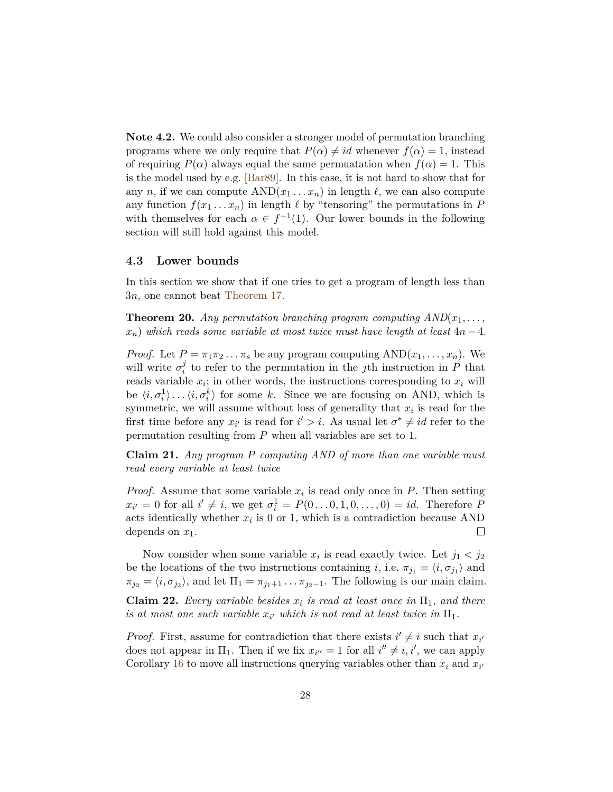**Note 4.2.** We could also consider a stronger model of permutation branching programs where we only require that  $P(\alpha) \neq id$  whenever  $f(\alpha) = 1$ , instead of requiring  $P(\alpha)$  always equal the same permuatation when  $f(\alpha) = 1$ . This is the model used by e.g. [\[Bar89\]](#page-32-10). In this case, it is not hard to show that for any *n*, if we can compute  $AND(x_1 \ldots x_n)$  in length  $\ell$ , we can also compute any function  $f(x_1 \ldots x_n)$  in length  $\ell$  by "tensoring" the permutations in *P* with themselves for each  $\alpha \in f^{-1}(1)$ . Our lower bounds in the following section will still hold against this model.

#### **4.3 Lower bounds**

In this section we show that if one tries to get a program of length less than 3*n*, one cannot beat [Theorem 17.](#page-25-0)

<span id="page-28-2"></span>**Theorem 20.** Any permutation branching program computing  $AND(x_1, \ldots,$  $x_n$ ) *which reads some variable at most twice must have length at least*  $4n - 4$ *.* 

*Proof.* Let  $P = \pi_1 \pi_2 \dots \pi_s$  be any program computing  $AND(x_1, \dots, x_n)$ . We will write  $\sigma_i^j$  $i$ <sup> $j$ </sup> to refer to the permutation in the *j*th instruction in *P* that reads variable  $x_i$ ; in other words, the instructions corresponding to  $x_i$  will be  $\langle i, \sigma_i^1 \rangle \dots \langle i, \sigma_i^k \rangle$  for some *k*. Since we are focusing on AND, which is symmetric, we will assume without loss of generality that *x<sup>i</sup>* is read for the first time before any  $x_{i'}$  is read for  $i' > i$ . As usual let  $\sigma^* \neq id$  refer to the permutation resulting from *P* when all variables are set to 1.

<span id="page-28-0"></span>**Claim 21.** *Any program P computing AND of more than one variable must read every variable at least twice*

*Proof.* Assume that some variable  $x_i$  is read only once in  $P$ . Then setting  $x_{i'} = 0$  for all  $i' \neq i$ , we get  $\sigma_i^1 = P(0 \dots 0, 1, 0, \dots, 0) = id$ . Therefore *P* acts identically whether  $x_i$  is 0 or 1, which is a contradiction because AND depends on *x*1.  $\Box$ 

Now consider when some variable  $x_i$  is read exactly twice. Let  $j_1 < j_2$ be the locations of the two instructions containing *i*, i.e.  $\pi_{j_1} = \langle i, \sigma_{j_1} \rangle$  and  $\pi_{j_2} = \langle i, \sigma_{j_2} \rangle$ , and let  $\Pi_1 = \pi_{j_1+1} \dots \pi_{j_2-1}$ . The following is our main claim.

<span id="page-28-1"></span>**Claim 22.** *Every variable besides*  $x_i$  *is read at least once in*  $\Pi_1$ *, and there is at most one such variable*  $x_i$  *which is not read at least twice in*  $\Pi_1$ *.* 

*Proof.* First, assume for contradiction that there exists  $i' \neq i$  such that  $x_{i'}$ does not appear in  $\Pi_1$ . Then if we fix  $x_{i''} = 1$  for all  $i'' \neq i, i'$ , we can apply Corollary [16](#page-25-1) to move all instructions querying variables other than  $x_i$  and  $x_{i'}$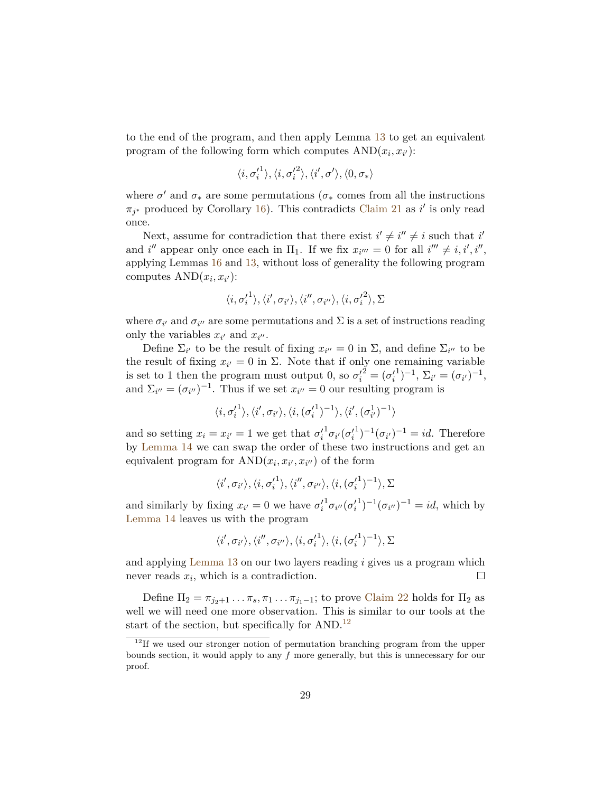to the end of the program, and then apply Lemma [13](#page-24-2) to get an equivalent program of the following form which computes  $AND(x_i, x_{i'})$ :

$$
\langle i,\sigma_i'^1\rangle,\langle i,\sigma_i'^2\rangle,\langle i',\sigma'\rangle,\langle 0,\sigma_*\rangle
$$

where  $\sigma'$  and  $\sigma_*$  are some permutations ( $\sigma_*$  comes from all the instructions  $\pi_{j^*}$  produced by Corollary [16\)](#page-25-1). This contradicts [Claim 21](#page-28-0) as *i*' is only read once.

Next, assume for contradiction that there exist  $i' \neq i'' \neq i$  such that *i* and *i*<sup>*''*</sup> appear only once each in  $\Pi_1$ . If we fix  $x_{i''} = 0$  for all  $i'' \neq i, i', i''$ , applying Lemmas [16](#page-25-1) and [13,](#page-24-2) without loss of generality the following program computes  $AND(x_i, x_{i'})$ :

$$
\langle i, {\sigma'_i}^1 \rangle, \langle i', \sigma_{i'} \rangle, \langle i'', \sigma_{i''} \rangle, \langle i, {\sigma'_i}^2 \rangle, \Sigma
$$

where  $\sigma_{i'}$  and  $\sigma_{i''}$  are some permutations and  $\Sigma$  is a set of instructions reading only the variables  $x_{i'}$  and  $x_{i''}$ .

Define  $\Sigma_{i'}$  to be the result of fixing  $x_{i''} = 0$  in  $\Sigma$ , and define  $\Sigma_{i''}$  to be the result of fixing  $x_{i'} = 0$  in  $\Sigma$ . Note that if only one remaining variable is set to 1 then the program must output 0, so  $\sigma_i^2 = (\sigma_i^2)$  $\sum_{i'}$  =  $(\sigma_{i'})^{-1}$ , and  $\Sigma_{i''} = (\sigma_{i''})^{-1}$ . Thus if we set  $x_{i''} = 0$  our resulting program is

$$
\langle i, \sigma'_i{}^1 \rangle, \langle i', \sigma_{i'} \rangle, \langle i, (\sigma'_i{}^1)^{-1} \rangle, \langle i', (\sigma_{i'}^1)^{-1} \rangle
$$

and so setting  $x_i = x_{i'} = 1$  we get that  $\sigma'_i$  $^{1}\sigma_{i^{\prime}}(\sigma_{i}^{\prime}% \sigma_{i}^{\prime})=0$  $(1)^{-1}(\sigma_{i'})^{-1} = id.$  Therefore by [Lemma 14](#page-24-3) we can swap the order of these two instructions and get an equivalent program for  $AND(x_i, x_{i'}, x_{i'})$  of the form

$$
\langle i', \sigma_{i'} \rangle, \langle i, {\sigma'_{i}}^{1} \rangle, \langle i'', \sigma_{i''} \rangle, \langle i, ({\sigma'_{i}}^{1})^{-1} \rangle, \Sigma
$$

and similarly by fixing  $x_{i'} = 0$  we have  $\sigma'_{i}$  $^1\sigma_{i''}(\sigma'_i$  $j^{-1}(\sigma_{i''})^{-1} = id$ , which by [Lemma 14](#page-24-3) leaves us with the program

$$
\langle i',\sigma_{i'}\rangle,\langle i'',\sigma_{i''}\rangle,\langle i,{\sigma'_{i}}^{1}\rangle,\langle i,({\sigma'_{i}}^{1})^{-1}\rangle,\Sigma
$$

and applying [Lemma 13](#page-24-2) on our two layers reading *i* gives us a program which never reads *x<sup>i</sup>* , which is a contradiction.  $\Box$ 

Define  $\Pi_2 = \pi_{j_2+1} \dots \pi_s, \pi_1 \dots \pi_{j_1-1}$ ; to prove [Claim 22](#page-28-1) holds for  $\Pi_2$  as well we will need one more observation. This is similar to our tools at the start of the section, but specifically for  $AND.<sup>12</sup>$  $AND.<sup>12</sup>$  $AND.<sup>12</sup>$ 

<span id="page-29-0"></span> $12$ If we used our stronger notion of permutation branching program from the upper bounds section, it would apply to any *f* more generally, but this is unnecessary for our proof.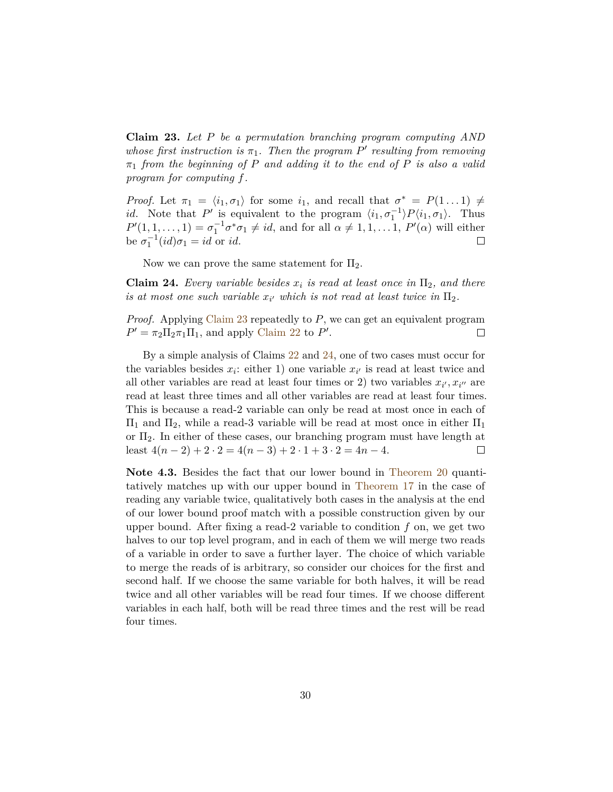<span id="page-30-0"></span>**Claim 23.** *Let P be a permutation branching program computing AND whose first instruction is*  $\pi_1$ *. Then the program*  $P'$  *resulting from removing π*<sup>1</sup> *from the beginning of P and adding it to the end of P is also a valid program for computing f.*

*Proof.* Let  $\pi_1 = \langle i_1, \sigma_1 \rangle$  for some  $i_1$ , and recall that  $\sigma^* = P(1 \dots 1) \neq$ *id*. Note that *P*<sup> $\prime$ </sup> is equivalent to the program  $\langle i_1, \sigma_1^{-1} \rangle P \langle i_1, \sigma_1 \rangle$ . Thus  $P'(1, 1, \ldots, 1) = \sigma_1^{-1} \sigma^* \sigma_1 \neq id$ , and for all  $\alpha \neq 1, 1, \ldots, 1$ ,  $P'(\alpha)$  will either be  $\sigma_1^{-1}(id)\sigma_1 = id$  or *id*.  $\Box$ 

Now we can prove the same statement for  $\Pi_2$ .

<span id="page-30-1"></span>**Claim 24.** *Every variable besides*  $x_i$  *is read at least once in*  $\Pi_2$ *, and there is at most one such variable*  $x_i$  *which is not read at least twice in*  $\Pi_2$ *.* 

*Proof.* Applying [Claim 23](#page-30-0) repeatedly to *P*, we can get an equivalent program  $P' = \pi_2 \Pi_2 \pi_1 \Pi_1$ , and apply [Claim 22](#page-28-1) to *P'*.  $\Box$ 

By a simple analysis of Claims [22](#page-28-1) and [24,](#page-30-1) one of two cases must occur for the variables besides  $x_i$ : either 1) one variable  $x_i$  is read at least twice and all other variables are read at least four times or 2) two variables  $x_{i'}$ ,  $x_{i''}$  are read at least three times and all other variables are read at least four times. This is because a read-2 variable can only be read at most once in each of  $\Pi_1$  and  $\Pi_2$ , while a read-3 variable will be read at most once in either  $\Pi_1$ or  $\Pi_2$ . In either of these cases, our branching program must have length at least  $4(n-2)+2 \cdot 2 = 4(n-3)+2 \cdot 1 + 3 \cdot 2 = 4n-4$ .  $\Box$ 

**Note 4.3.** Besides the fact that our lower bound in [Theorem 20](#page-28-2) quantitatively matches up with our upper bound in [Theorem 17](#page-25-0) in the case of reading any variable twice, qualitatively both cases in the analysis at the end of our lower bound proof match with a possible construction given by our upper bound. After fixing a read-2 variable to condition *f* on, we get two halves to our top level program, and in each of them we will merge two reads of a variable in order to save a further layer. The choice of which variable to merge the reads of is arbitrary, so consider our choices for the first and second half. If we choose the same variable for both halves, it will be read twice and all other variables will be read four times. If we choose different variables in each half, both will be read three times and the rest will be read four times.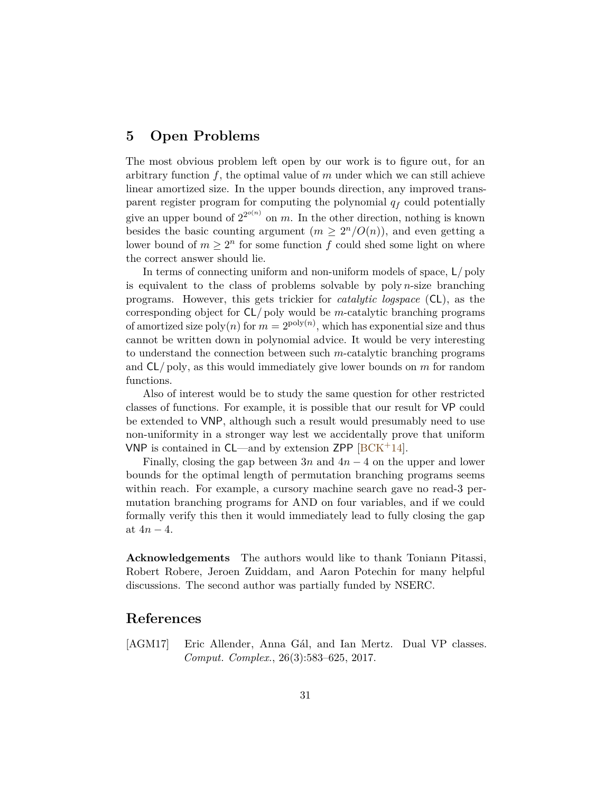## **5 Open Problems**

The most obvious problem left open by our work is to figure out, for an arbitrary function  $f$ , the optimal value of  $m$  under which we can still achieve linear amortized size. In the upper bounds direction, any improved transparent register program for computing the polynomial *q<sup>f</sup>* could potentially give an upper bound of  $2^{2^{o(n)}}$  on *m*. In the other direction, nothing is known besides the basic counting argument  $(m \geq 2^n/O(n))$ , and even getting a lower bound of  $m \geq 2^n$  for some function  $f$  could shed some light on where the correct answer should lie.

In terms of connecting uniform and non-uniform models of space, L*/* poly is equivalent to the class of problems solvable by poly *n*-size branching programs. However, this gets trickier for *catalytic logspace* (CL), as the corresponding object for CL*/* poly would be *m*-catalytic branching programs of amortized size  $\text{poly}(n)$  for  $m = 2^{\text{poly}(n)}$ , which has exponential size and thus cannot be written down in polynomial advice. It would be very interesting to understand the connection between such *m*-catalytic branching programs and CL*/* poly, as this would immediately give lower bounds on *m* for random functions.

Also of interest would be to study the same question for other restricted classes of functions. For example, it is possible that our result for VP could be extended to VNP, although such a result would presumably need to use non-uniformity in a stronger way lest we accidentally prove that uniform VNP is contained in  $CL$ —and by extension ZPP  $[BCK^+14]$  $[BCK^+14]$ .

Finally, closing the gap between  $3n$  and  $4n-4$  on the upper and lower bounds for the optimal length of permutation branching programs seems within reach. For example, a cursory machine search gave no read-3 permutation branching programs for AND on four variables, and if we could formally verify this then it would immediately lead to fully closing the gap at  $4n - 4$ .

**Acknowledgements** The authors would like to thank Toniann Pitassi, Robert Robere, Jeroen Zuiddam, and Aaron Potechin for many helpful discussions. The second author was partially funded by NSERC.

### **References**

<span id="page-31-0"></span>[AGM17] Eric Allender, Anna Gál, and Ian Mertz. Dual VP classes. *Comput. Complex.*, 26(3):583–625, 2017.